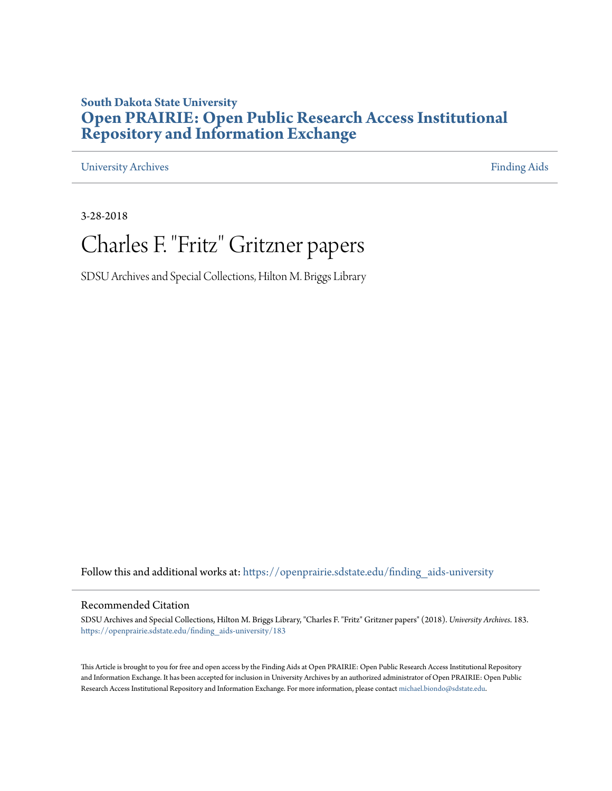### **South Dakota State University [Open PRAIRIE: Open Public Research Access Institutional](https://openprairie.sdstate.edu?utm_source=openprairie.sdstate.edu%2Ffinding_aids-university%2F183&utm_medium=PDF&utm_campaign=PDFCoverPages) [Repository and Information Exchange](https://openprairie.sdstate.edu?utm_source=openprairie.sdstate.edu%2Ffinding_aids-university%2F183&utm_medium=PDF&utm_campaign=PDFCoverPages)**

[University Archives](https://openprairie.sdstate.edu/finding_aids-university?utm_source=openprairie.sdstate.edu%2Ffinding_aids-university%2F183&utm_medium=PDF&utm_campaign=PDFCoverPages) [Finding Aids](https://openprairie.sdstate.edu/finding_aids?utm_source=openprairie.sdstate.edu%2Ffinding_aids-university%2F183&utm_medium=PDF&utm_campaign=PDFCoverPages)

3-28-2018

## Charles F. "Fritz" Gritzner papers

SDSU Archives and Special Collections, Hilton M. Briggs Library

Follow this and additional works at: [https://openprairie.sdstate.edu/finding\\_aids-university](https://openprairie.sdstate.edu/finding_aids-university?utm_source=openprairie.sdstate.edu%2Ffinding_aids-university%2F183&utm_medium=PDF&utm_campaign=PDFCoverPages)

#### Recommended Citation

SDSU Archives and Special Collections, Hilton M. Briggs Library, "Charles F. "Fritz" Gritzner papers" (2018). *University Archives*. 183. [https://openprairie.sdstate.edu/finding\\_aids-university/183](https://openprairie.sdstate.edu/finding_aids-university/183?utm_source=openprairie.sdstate.edu%2Ffinding_aids-university%2F183&utm_medium=PDF&utm_campaign=PDFCoverPages)

This Article is brought to you for free and open access by the Finding Aids at Open PRAIRIE: Open Public Research Access Institutional Repository and Information Exchange. It has been accepted for inclusion in University Archives by an authorized administrator of Open PRAIRIE: Open Public Research Access Institutional Repository and Information Exchange. For more information, please contact [michael.biondo@sdstate.edu.](mailto:michael.biondo@sdstate.edu)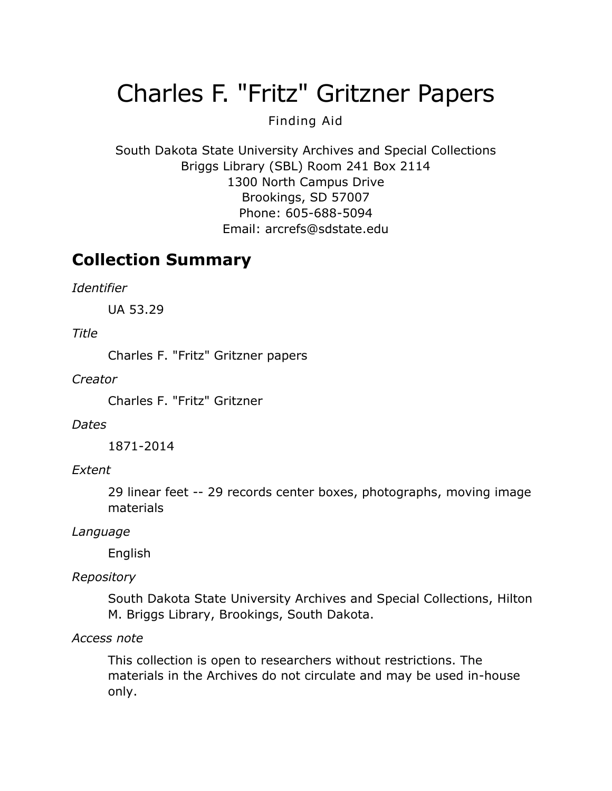# Charles F. "Fritz" Gritzner Papers

### Finding Aid

South Dakota State University Archives and Special Collections Briggs Library (SBL) Room 241 Box 2114 1300 North Campus Drive Brookings, SD 57007 Phone: 605-688-5094 Email: [arcrefs@sdstate.edu](mailto:arcrefs@sdstate.edu)

### **Collection Summary**

*Identifier*

UA 53.29

*Title*

Charles F. "Fritz" Gritzner papers

*Creator*

Charles F. "Fritz" Gritzner

#### *Dates*

1871-2014

#### *Extent*

29 linear feet -- 29 records center boxes, photographs, moving image materials

#### *Language*

English

### *Repository*

South Dakota State University Archives and Special Collections, Hilton M. Briggs Library, Brookings, South Dakota.

#### *Access note*

This collection is open to researchers without restrictions. The materials in the Archives do not circulate and may be used in-house only.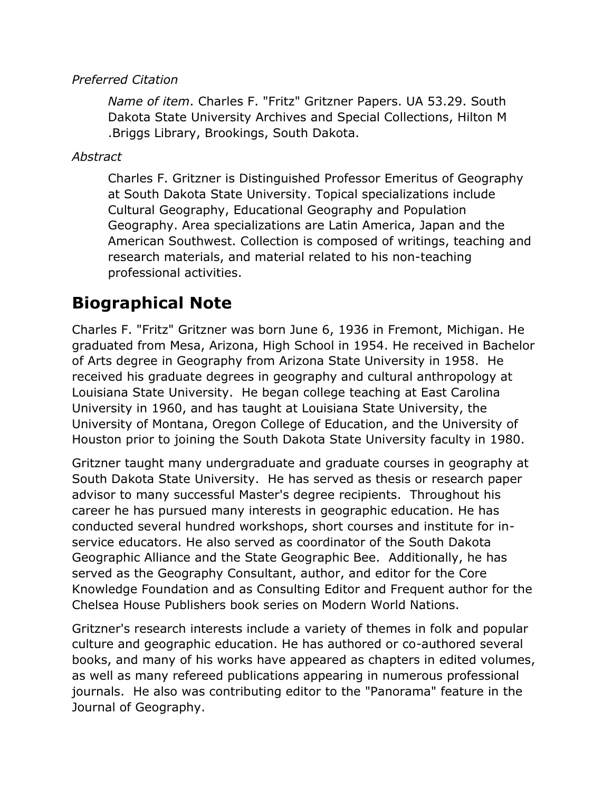#### *Preferred Citation*

*Name of item*. Charles F. "Fritz" Gritzner Papers. UA 53.29. South Dakota State University Archives and Special Collections, Hilton M .Briggs Library, Brookings, South Dakota.

#### *Abstract*

Charles F. Gritzner is Distinguished Professor Emeritus of Geography at South Dakota State University. Topical specializations include Cultural Geography, Educational Geography and Population Geography. Area specializations are Latin America, Japan and the American Southwest. Collection is composed of writings, teaching and research materials, and material related to his non-teaching professional activities.

### **Biographical Note**

Charles F. "Fritz" Gritzner was born June 6, 1936 in Fremont, Michigan. He graduated from Mesa, Arizona, High School in 1954. He received in Bachelor of Arts degree in Geography from Arizona State University in 1958. He received his graduate degrees in geography and cultural anthropology at Louisiana State University. He began college teaching at East Carolina University in 1960, and has taught at Louisiana State University, the University of Montana, Oregon College of Education, and the University of Houston prior to joining the South Dakota State University faculty in 1980.

Gritzner taught many undergraduate and graduate courses in geography at South Dakota State University. He has served as thesis or research paper advisor to many successful Master's degree recipients. Throughout his career he has pursued many interests in geographic education. He has conducted several hundred workshops, short courses and institute for inservice educators. He also served as coordinator of the South Dakota Geographic Alliance and the State Geographic Bee. Additionally, he has served as the Geography Consultant, author, and editor for the Core Knowledge Foundation and as Consulting Editor and Frequent author for the Chelsea House Publishers book series on Modern World Nations.

Gritzner's research interests include a variety of themes in folk and popular culture and geographic education. He has authored or co-authored several books, and many of his works have appeared as chapters in edited volumes, as well as many refereed publications appearing in numerous professional journals. He also was contributing editor to the "Panorama" feature in the Journal of Geography.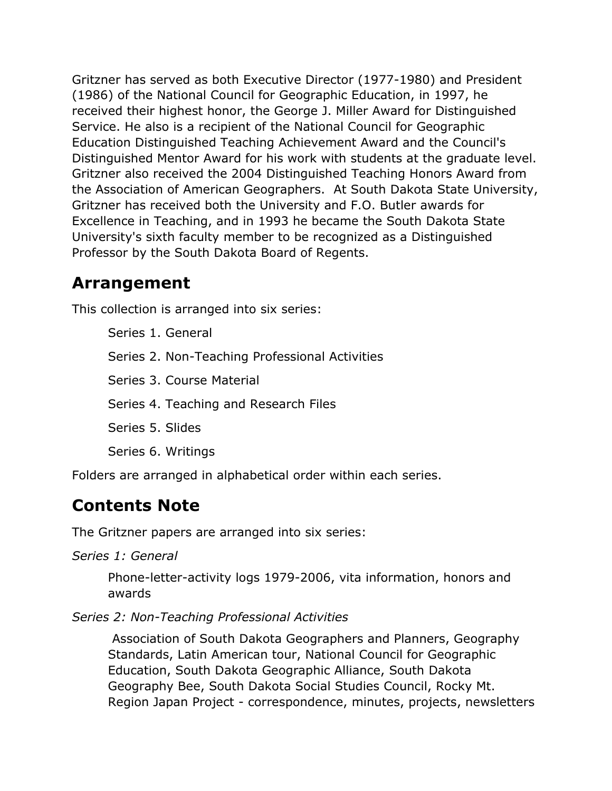Gritzner has served as both Executive Director (1977-1980) and President (1986) of the National Council for Geographic Education, in 1997, he received their highest honor, the George J. Miller Award for Distinguished Service. He also is a recipient of the National Council for Geographic Education Distinguished Teaching Achievement Award and the Council's Distinguished Mentor Award for his work with students at the graduate level. Gritzner also received the 2004 Distinguished Teaching Honors Award from the Association of American Geographers. At South Dakota State University, Gritzner has received both the University and F.O. Butler awards for Excellence in Teaching, and in 1993 he became the South Dakota State University's sixth faculty member to be recognized as a Distinguished Professor by the South Dakota Board of Regents.

### **Arrangement**

This collection is arranged into six series:

Series 1. General

Series 2. Non-Teaching Professional Activities

Series 3. Course Material

Series 4. Teaching and Research Files

Series 5. Slides

Series 6. Writings

Folders are arranged in alphabetical order within each series.

### **Contents Note**

The Gritzner papers are arranged into six series:

*Series 1: General*

Phone-letter-activity logs 1979-2006, vita information, honors and awards

### *Series 2: Non-Teaching Professional Activities*

Association of South Dakota Geographers and Planners, Geography Standards, Latin American tour, National Council for Geographic Education, South Dakota Geographic Alliance, South Dakota Geography Bee, South Dakota Social Studies Council, Rocky Mt. Region Japan Project - correspondence, minutes, projects, newsletters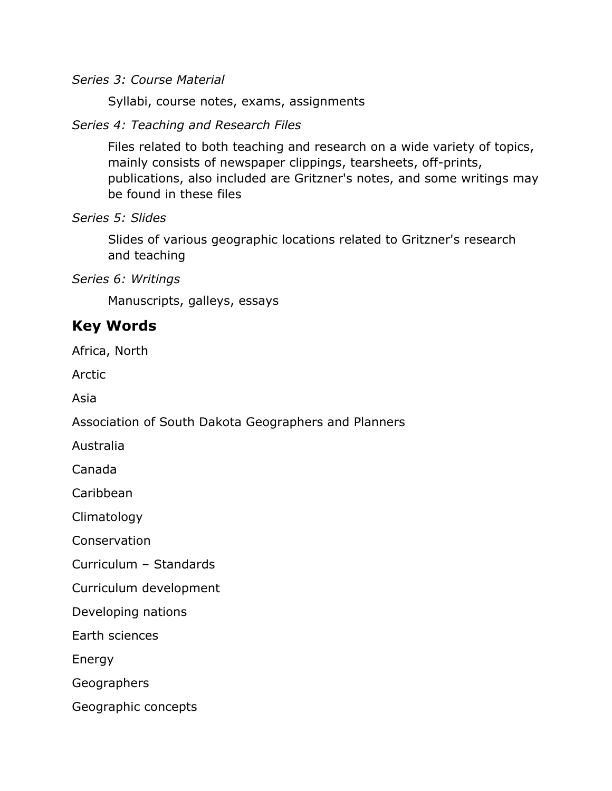*Series 3: Course Material*

Syllabi, course notes, exams, assignments

*Series 4: Teaching and Research Files*

Files related to both teaching and research on a wide variety of topics, mainly consists of newspaper clippings, tearsheets, off-prints, publications, also included are Gritzner's notes, and some writings may be found in these files

*Series 5: Slides*

Slides of various geographic locations related to Gritzner's research and teaching

*Series 6: Writings*

Manuscripts, galleys, essays

### **Key Words**

Africa, North

Arctic

Asia

Association of South Dakota Geographers and Planners

Australia

Canada

Caribbean

Climatology

Conservation

Curriculum – Standards

Curriculum development

Developing nations

Earth sciences

Energy

Geographers

Geographic concepts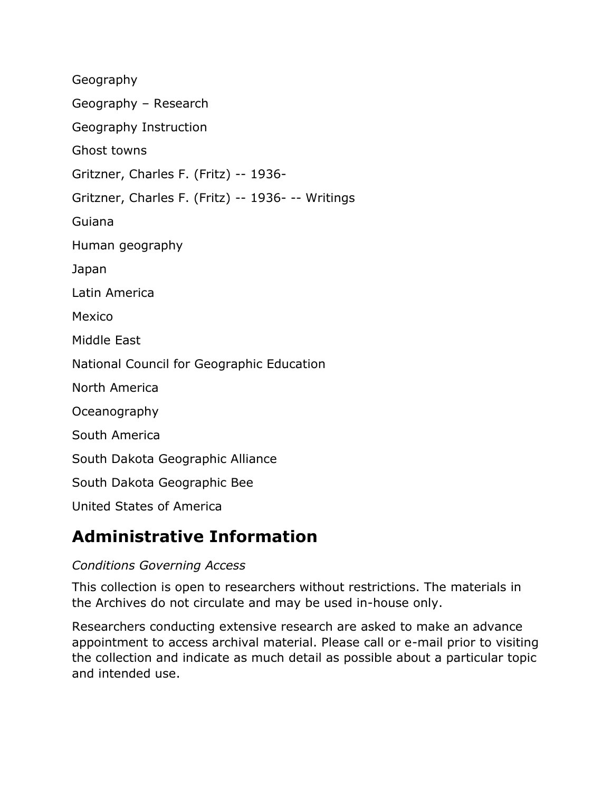Geography Geography – Research Geography Instruction Ghost towns Gritzner, Charles F. (Fritz) -- 1936- Gritzner, Charles F. (Fritz) -- 1936- -- Writings Guiana Human geography Japan Latin America Mexico Middle East National Council for Geographic Education North America Oceanography South America South Dakota Geographic Alliance South Dakota Geographic Bee United States of America

### **Administrative Information**

### *Conditions Governing Access*

This collection is open to researchers without restrictions. The materials in the Archives do not circulate and may be used in-house only.

Researchers conducting extensive research are asked to make an advance appointment to access archival material. Please call or e-mail prior to visiting the collection and indicate as much detail as possible about a particular topic and intended use.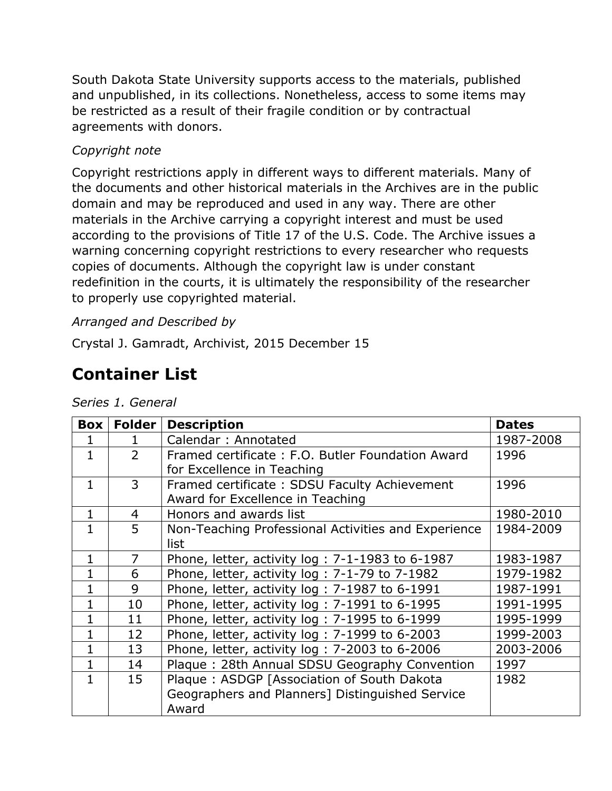South Dakota State University supports access to the materials, published and unpublished, in its collections. Nonetheless, access to some items may be restricted as a result of their fragile condition or by contractual agreements with donors.

### *Copyright note*

Copyright restrictions apply in different ways to different materials. Many of the documents and other historical materials in the Archives are in the public domain and may be reproduced and used in any way. There are other materials in the Archive carrying a copyright interest and must be used according to the provisions of Title 17 of the U.S. Code. The Archive issues a warning concerning copyright restrictions to every researcher who requests copies of documents. Although the copyright law is under constant redefinition in the courts, it is ultimately the responsibility of the researcher to properly use copyrighted material.

### *Arranged and Described by*

Crystal J. Gamradt, Archivist, 2015 December 15

## **Container List**

| Box          | Folder         | <b>Description</b>                                  | <b>Dates</b> |
|--------------|----------------|-----------------------------------------------------|--------------|
|              |                | Calendar: Annotated                                 | 1987-2008    |
| $\mathbf{1}$ | $\overline{2}$ | Framed certificate: F.O. Butler Foundation Award    | 1996         |
|              |                | for Excellence in Teaching                          |              |
| $\mathbf{1}$ | 3              | Framed certificate: SDSU Faculty Achievement        | 1996         |
|              |                | Award for Excellence in Teaching                    |              |
| $\mathbf{1}$ | 4              | Honors and awards list                              | 1980-2010    |
| $\mathbf{1}$ | 5              | Non-Teaching Professional Activities and Experience | 1984-2009    |
|              |                | list                                                |              |
| 1            | 7              | Phone, letter, activity log: 7-1-1983 to 6-1987     | 1983-1987    |
| 1            | 6              | Phone, letter, activity log : 7-1-79 to 7-1982      | 1979-1982    |
| $\mathbf{1}$ | 9              | Phone, letter, activity log: 7-1987 to 6-1991       | 1987-1991    |
| 1            | 10             | Phone, letter, activity log : 7-1991 to 6-1995      | 1991-1995    |
| 1            | 11             | Phone, letter, activity log: 7-1995 to 6-1999       | 1995-1999    |
| $\mathbf{1}$ | 12             | Phone, letter, activity log: 7-1999 to 6-2003       | 1999-2003    |
| $\mathbf{1}$ | 13             | Phone, letter, activity log: 7-2003 to 6-2006       | 2003-2006    |
| $\mathbf{1}$ | 14             | Plaque: 28th Annual SDSU Geography Convention       | 1997         |
| 1            | 15             | Plaque: ASDGP [Association of South Dakota          | 1982         |
|              |                | Geographers and Planners] Distinguished Service     |              |
|              |                | Award                                               |              |

#### *Series 1. General*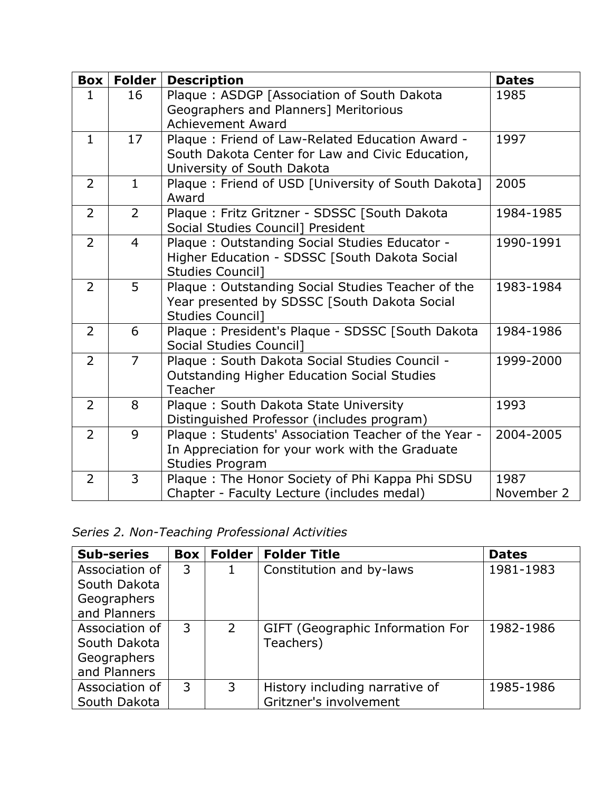|                | <b>Box</b>   Folder | <b>Description</b>                                                                                                                | <b>Dates</b>       |
|----------------|---------------------|-----------------------------------------------------------------------------------------------------------------------------------|--------------------|
| 1              | 16                  | Plaque: ASDGP [Association of South Dakota<br>Geographers and Planners] Meritorious                                               | 1985               |
| $\mathbf{1}$   | 17                  | <b>Achievement Award</b>                                                                                                          |                    |
|                |                     | Plaque: Friend of Law-Related Education Award -<br>South Dakota Center for Law and Civic Education,<br>University of South Dakota | 1997               |
| $\overline{2}$ | $\mathbf{1}$        | Plaque: Friend of USD [University of South Dakota]<br>Award                                                                       | 2005               |
| 2              | $\overline{2}$      | Plaque: Fritz Gritzner - SDSSC [South Dakota<br>Social Studies Council] President                                                 | 1984-1985          |
| $\overline{2}$ | $\overline{4}$      | Plaque: Outstanding Social Studies Educator -<br>Higher Education - SDSSC [South Dakota Social<br><b>Studies Council]</b>         | 1990-1991          |
| $\overline{2}$ | 5                   | Plaque: Outstanding Social Studies Teacher of the<br>Year presented by SDSSC [South Dakota Social<br><b>Studies Council]</b>      | 1983-1984          |
| $\overline{2}$ | 6                   | Plaque: President's Plaque - SDSSC [South Dakota<br>Social Studies Council]                                                       | 1984-1986          |
| $\overline{2}$ | $\overline{7}$      | Plaque: South Dakota Social Studies Council -<br><b>Outstanding Higher Education Social Studies</b><br>Teacher                    | 1999-2000          |
| $\overline{2}$ | 8                   | Plaque: South Dakota State University<br>Distinguished Professor (includes program)                                               | 1993               |
| $\overline{2}$ | 9                   | Plaque: Students' Association Teacher of the Year -<br>In Appreciation for your work with the Graduate<br><b>Studies Program</b>  | 2004-2005          |
| $\overline{2}$ | $\overline{3}$      | Plaque: The Honor Society of Phi Kappa Phi SDSU<br>Chapter - Faculty Lecture (includes medal)                                     | 1987<br>November 2 |

*Series 2. Non-Teaching Professional Activities*

| <b>Sub-series</b>                                             | Box | <b>Folder</b> | <b>Folder Title</b>                                      | <b>Dates</b> |
|---------------------------------------------------------------|-----|---------------|----------------------------------------------------------|--------------|
| Association of<br>South Dakota                                | 3   | 1             | Constitution and by-laws                                 | 1981-1983    |
| Geographers<br>and Planners                                   |     |               |                                                          |              |
| Association of<br>South Dakota<br>Geographers<br>and Planners | 3   | 2             | GIFT (Geographic Information For<br>Teachers)            | 1982-1986    |
| Association of<br>South Dakota                                | 3   | 3             | History including narrative of<br>Gritzner's involvement | 1985-1986    |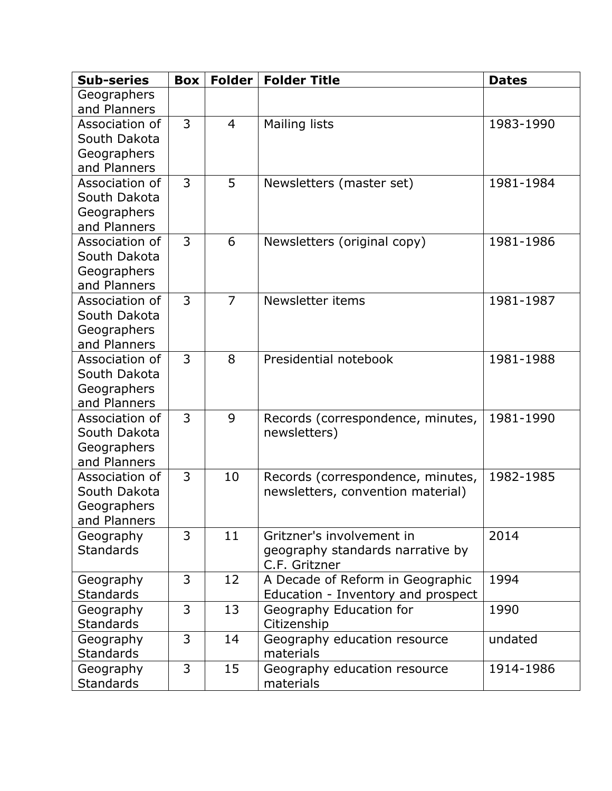| <b>Sub-series</b>             | <b>Box</b>     |                | Folder   Folder Title              | <b>Dates</b> |
|-------------------------------|----------------|----------------|------------------------------------|--------------|
| Geographers                   |                |                |                                    |              |
| and Planners                  |                |                |                                    |              |
| Association of                | $\overline{3}$ | $\overline{4}$ | Mailing lists                      | 1983-1990    |
| South Dakota                  |                |                |                                    |              |
| Geographers                   |                |                |                                    |              |
| and Planners                  |                |                |                                    |              |
| Association of                | 3              | 5              | Newsletters (master set)           | 1981-1984    |
| South Dakota                  |                |                |                                    |              |
| Geographers                   |                |                |                                    |              |
| and Planners                  |                |                |                                    |              |
| Association of                | 3              | 6              | Newsletters (original copy)        | 1981-1986    |
| South Dakota                  |                |                |                                    |              |
| Geographers                   |                |                |                                    |              |
| and Planners                  |                |                |                                    |              |
| Association of                | 3              | $\overline{7}$ | Newsletter items                   | 1981-1987    |
| South Dakota                  |                |                |                                    |              |
| Geographers                   |                |                |                                    |              |
| and Planners                  |                |                |                                    |              |
| Association of                | 3              | 8              | Presidential notebook              | 1981-1988    |
| South Dakota                  |                |                |                                    |              |
| Geographers                   |                |                |                                    |              |
| and Planners                  |                |                |                                    |              |
| Association of                | $\overline{3}$ | 9              | Records (correspondence, minutes,  | 1981-1990    |
| South Dakota                  |                |                | newsletters)                       |              |
| Geographers                   |                |                |                                    |              |
| and Planners                  | 3              |                |                                    |              |
| Association of                |                | 10             | Records (correspondence, minutes,  | 1982-1985    |
| South Dakota                  |                |                | newsletters, convention material)  |              |
| Geographers<br>and Planners   |                |                |                                    |              |
|                               | 3              | 11             | Gritzner's involvement in          | 2014         |
| Geography<br><b>Standards</b> |                |                | geography standards narrative by   |              |
|                               |                |                | C.F. Gritzner                      |              |
| Geography                     | 3              | 12             | A Decade of Reform in Geographic   | 1994         |
| <b>Standards</b>              |                |                | Education - Inventory and prospect |              |
| Geography                     | $\overline{3}$ | 13             | Geography Education for            | 1990         |
| <b>Standards</b>              |                |                | Citizenship                        |              |
| Geography                     | $\overline{3}$ | 14             | Geography education resource       | undated      |
| <b>Standards</b>              |                |                | materials                          |              |
| Geography                     | 3              | 15             | Geography education resource       | 1914-1986    |
| <b>Standards</b>              |                |                | materials                          |              |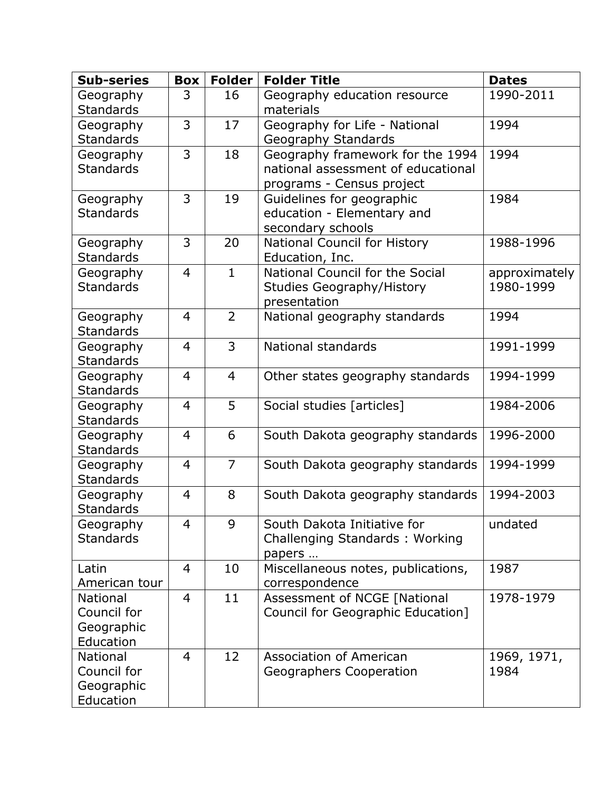| <b>Sub-series</b>             | <b>Box</b>     | <b>Folder</b>  | <b>Folder Title</b>                | <b>Dates</b>  |
|-------------------------------|----------------|----------------|------------------------------------|---------------|
| Geography                     | 3              | 16             | Geography education resource       | 1990-2011     |
| <b>Standards</b>              |                |                | materials                          |               |
| Geography                     | 3              | 17             | Geography for Life - National      | 1994          |
| <b>Standards</b>              |                |                | Geography Standards                |               |
| Geography                     | 3              | 18             | Geography framework for the 1994   | 1994          |
| <b>Standards</b>              |                |                | national assessment of educational |               |
|                               |                |                | programs - Census project          |               |
| Geography                     | 3              | 19             | Guidelines for geographic          | 1984          |
| <b>Standards</b>              |                |                | education - Elementary and         |               |
|                               |                |                | secondary schools                  |               |
| Geography                     | 3              | 20             | National Council for History       | 1988-1996     |
| <b>Standards</b>              |                |                | Education, Inc.                    |               |
| Geography                     | $\overline{4}$ | $\mathbf{1}$   | National Council for the Social    | approximately |
| <b>Standards</b>              |                |                | <b>Studies Geography/History</b>   | 1980-1999     |
|                               |                |                | presentation                       |               |
| Geography                     | $\overline{4}$ | $\overline{2}$ | National geography standards       | 1994          |
| <b>Standards</b>              |                |                |                                    |               |
| Geography                     | $\overline{4}$ | 3              | National standards                 | 1991-1999     |
| <b>Standards</b>              |                |                |                                    |               |
| Geography                     | $\overline{4}$ | $\overline{4}$ | Other states geography standards   | 1994-1999     |
| <b>Standards</b>              |                |                |                                    |               |
| Geography                     | $\overline{4}$ | 5              | Social studies [articles]          | 1984-2006     |
| <b>Standards</b>              |                |                |                                    |               |
| Geography                     | $\overline{4}$ | 6              | South Dakota geography standards   | 1996-2000     |
| <b>Standards</b>              |                | $\overline{7}$ |                                    |               |
| Geography                     | $\overline{4}$ |                | South Dakota geography standards   | 1994-1999     |
| <b>Standards</b>              | $\overline{4}$ | 8              |                                    | 1994-2003     |
| Geography<br><b>Standards</b> |                |                | South Dakota geography standards   |               |
| Geography                     | 4              | 9              | South Dakota Initiative for        | undated       |
| <b>Standards</b>              |                |                | Challenging Standards: Working     |               |
|                               |                |                | papers                             |               |
| Latin                         | $\overline{4}$ | 10             | Miscellaneous notes, publications, | 1987          |
| American tour                 |                |                | correspondence                     |               |
| <b>National</b>               | $\overline{4}$ | 11             | Assessment of NCGE [National       | 1978-1979     |
| Council for                   |                |                | Council for Geographic Education]  |               |
| Geographic                    |                |                |                                    |               |
| Education                     |                |                |                                    |               |
| <b>National</b>               | $\overline{4}$ | 12             | <b>Association of American</b>     | 1969, 1971,   |
| Council for                   |                |                | Geographers Cooperation            | 1984          |
| Geographic                    |                |                |                                    |               |
| Education                     |                |                |                                    |               |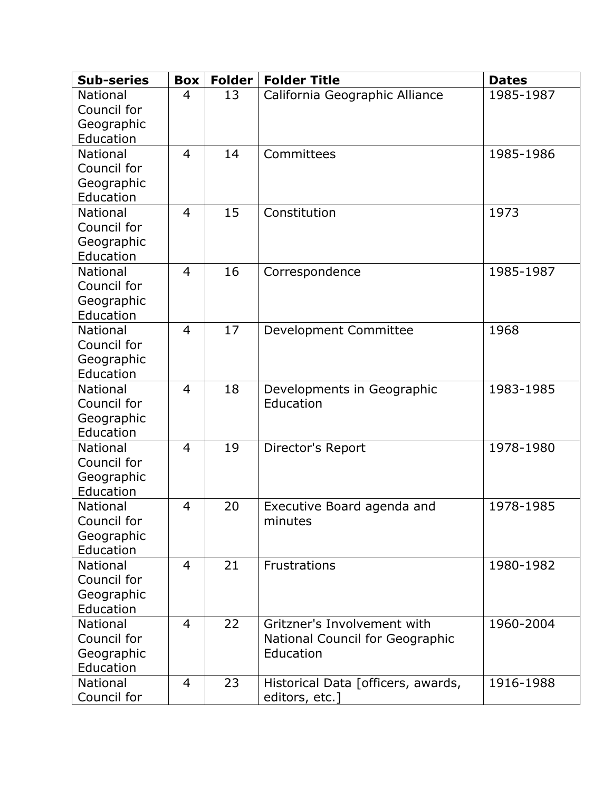| <b>Sub-series</b>              | <b>Box</b>     | <b>Folder</b> | <b>Folder Title</b>                | <b>Dates</b> |
|--------------------------------|----------------|---------------|------------------------------------|--------------|
| <b>National</b>                | $\overline{4}$ | 13            | California Geographic Alliance     | 1985-1987    |
| Council for                    |                |               |                                    |              |
| Geographic                     |                |               |                                    |              |
| Education                      |                |               |                                    |              |
| <b>National</b>                | $\overline{4}$ | 14            | Committees                         | 1985-1986    |
| Council for                    |                |               |                                    |              |
| Geographic                     |                |               |                                    |              |
| Education                      |                |               |                                    |              |
| <b>National</b>                | $\overline{4}$ | 15            | Constitution                       | 1973         |
| Council for                    |                |               |                                    |              |
| Geographic                     |                |               |                                    |              |
| Education                      |                |               |                                    |              |
| <b>National</b><br>Council for | $\overline{4}$ | 16            | Correspondence                     | 1985-1987    |
|                                |                |               |                                    |              |
| Geographic<br>Education        |                |               |                                    |              |
| <b>National</b>                | $\overline{4}$ | 17            | Development Committee              | 1968         |
| Council for                    |                |               |                                    |              |
| Geographic                     |                |               |                                    |              |
| Education                      |                |               |                                    |              |
| <b>National</b>                | $\overline{4}$ | 18            | Developments in Geographic         | 1983-1985    |
| Council for                    |                |               | Education                          |              |
| Geographic                     |                |               |                                    |              |
| Education                      |                |               |                                    |              |
| <b>National</b>                | $\overline{4}$ | 19            | Director's Report                  | 1978-1980    |
| Council for                    |                |               |                                    |              |
| Geographic                     |                |               |                                    |              |
| Education                      |                |               |                                    |              |
| <b>National</b>                | $\overline{4}$ | 20            | Executive Board agenda and         | 1978-1985    |
| Council for                    |                |               | minutes                            |              |
| Geographic                     |                |               |                                    |              |
| Education                      |                |               |                                    |              |
| <b>National</b>                | $\overline{4}$ | 21            | <b>Frustrations</b>                | 1980-1982    |
| Council for                    |                |               |                                    |              |
| Geographic                     |                |               |                                    |              |
| Education                      |                |               |                                    |              |
| <b>National</b>                | $\overline{4}$ | 22            | Gritzner's Involvement with        | 1960-2004    |
| Council for                    |                |               | National Council for Geographic    |              |
| Geographic                     |                |               | Education                          |              |
| Education                      |                |               |                                    |              |
| <b>National</b>                | $\overline{4}$ | 23            | Historical Data [officers, awards, | 1916-1988    |
| Council for                    |                |               | editors, etc.]                     |              |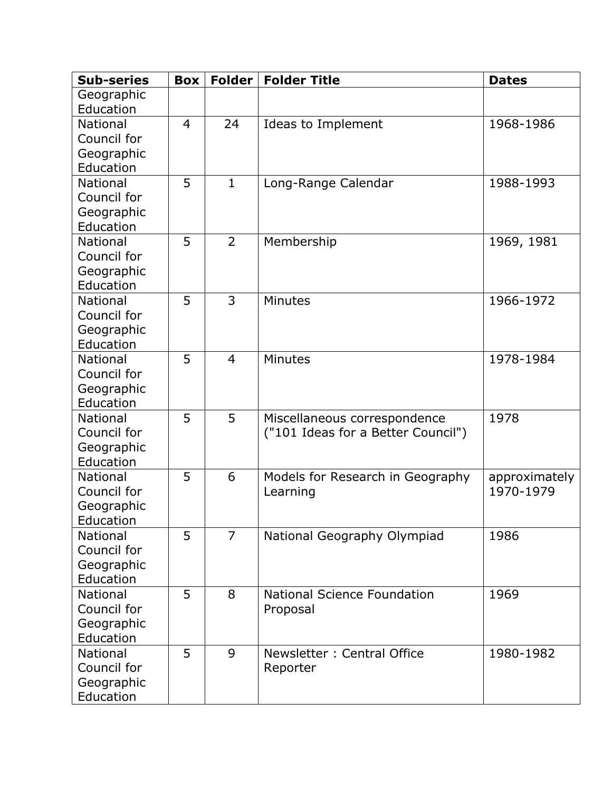| Geographic<br>Education<br>24<br>1968-1986<br><b>National</b><br>$\overline{4}$<br>Ideas to Implement<br>Council for<br>Geographic<br>Education<br>5<br>$\mathbf{1}$<br><b>National</b><br>1988-1993<br>Long-Range Calendar<br>Council for<br>Geographic<br>Education<br>5<br>$\overline{2}$<br><b>National</b><br>Membership<br>1969, 1981<br>Council for<br>Geographic<br>Education<br>3<br>5<br>1966-1972<br><b>National</b><br><b>Minutes</b><br>Council for<br>Geographic<br>Education<br>5<br>$\overline{4}$<br>1978-1984<br><b>Minutes</b><br><b>National</b><br>Council for<br>Geographic<br>Education<br>5<br>5<br>1978<br><b>National</b><br>Miscellaneous correspondence<br>Council for<br>("101 Ideas for a Better Council")<br>Geographic<br>Education<br>5<br>6<br>National<br>Models for Research in Geography<br>approximately<br>1970-1979<br>Council for<br>Learning<br>Geographic<br>Education<br>5<br>$\overline{7}$<br>National Geography Olympiad<br>1986<br><b>National</b><br>Council for<br>Geographic<br>Education<br>5<br><b>National</b><br>8<br><b>National Science Foundation</b><br>1969<br>Council for<br>Proposal<br>Geographic<br>Education | <b>Sub-series</b> | <b>Box</b> | Folder | <b>Folder Title</b> | <b>Dates</b> |
|-------------------------------------------------------------------------------------------------------------------------------------------------------------------------------------------------------------------------------------------------------------------------------------------------------------------------------------------------------------------------------------------------------------------------------------------------------------------------------------------------------------------------------------------------------------------------------------------------------------------------------------------------------------------------------------------------------------------------------------------------------------------------------------------------------------------------------------------------------------------------------------------------------------------------------------------------------------------------------------------------------------------------------------------------------------------------------------------------------------------------------------------------------------------------------|-------------------|------------|--------|---------------------|--------------|
|                                                                                                                                                                                                                                                                                                                                                                                                                                                                                                                                                                                                                                                                                                                                                                                                                                                                                                                                                                                                                                                                                                                                                                               |                   |            |        |                     |              |
|                                                                                                                                                                                                                                                                                                                                                                                                                                                                                                                                                                                                                                                                                                                                                                                                                                                                                                                                                                                                                                                                                                                                                                               |                   |            |        |                     |              |
|                                                                                                                                                                                                                                                                                                                                                                                                                                                                                                                                                                                                                                                                                                                                                                                                                                                                                                                                                                                                                                                                                                                                                                               |                   |            |        |                     |              |
|                                                                                                                                                                                                                                                                                                                                                                                                                                                                                                                                                                                                                                                                                                                                                                                                                                                                                                                                                                                                                                                                                                                                                                               |                   |            |        |                     |              |
|                                                                                                                                                                                                                                                                                                                                                                                                                                                                                                                                                                                                                                                                                                                                                                                                                                                                                                                                                                                                                                                                                                                                                                               |                   |            |        |                     |              |
|                                                                                                                                                                                                                                                                                                                                                                                                                                                                                                                                                                                                                                                                                                                                                                                                                                                                                                                                                                                                                                                                                                                                                                               |                   |            |        |                     |              |
|                                                                                                                                                                                                                                                                                                                                                                                                                                                                                                                                                                                                                                                                                                                                                                                                                                                                                                                                                                                                                                                                                                                                                                               |                   |            |        |                     |              |
|                                                                                                                                                                                                                                                                                                                                                                                                                                                                                                                                                                                                                                                                                                                                                                                                                                                                                                                                                                                                                                                                                                                                                                               |                   |            |        |                     |              |
|                                                                                                                                                                                                                                                                                                                                                                                                                                                                                                                                                                                                                                                                                                                                                                                                                                                                                                                                                                                                                                                                                                                                                                               |                   |            |        |                     |              |
|                                                                                                                                                                                                                                                                                                                                                                                                                                                                                                                                                                                                                                                                                                                                                                                                                                                                                                                                                                                                                                                                                                                                                                               |                   |            |        |                     |              |
|                                                                                                                                                                                                                                                                                                                                                                                                                                                                                                                                                                                                                                                                                                                                                                                                                                                                                                                                                                                                                                                                                                                                                                               |                   |            |        |                     |              |
|                                                                                                                                                                                                                                                                                                                                                                                                                                                                                                                                                                                                                                                                                                                                                                                                                                                                                                                                                                                                                                                                                                                                                                               |                   |            |        |                     |              |
|                                                                                                                                                                                                                                                                                                                                                                                                                                                                                                                                                                                                                                                                                                                                                                                                                                                                                                                                                                                                                                                                                                                                                                               |                   |            |        |                     |              |
|                                                                                                                                                                                                                                                                                                                                                                                                                                                                                                                                                                                                                                                                                                                                                                                                                                                                                                                                                                                                                                                                                                                                                                               |                   |            |        |                     |              |
|                                                                                                                                                                                                                                                                                                                                                                                                                                                                                                                                                                                                                                                                                                                                                                                                                                                                                                                                                                                                                                                                                                                                                                               |                   |            |        |                     |              |
|                                                                                                                                                                                                                                                                                                                                                                                                                                                                                                                                                                                                                                                                                                                                                                                                                                                                                                                                                                                                                                                                                                                                                                               |                   |            |        |                     |              |
|                                                                                                                                                                                                                                                                                                                                                                                                                                                                                                                                                                                                                                                                                                                                                                                                                                                                                                                                                                                                                                                                                                                                                                               |                   |            |        |                     |              |
|                                                                                                                                                                                                                                                                                                                                                                                                                                                                                                                                                                                                                                                                                                                                                                                                                                                                                                                                                                                                                                                                                                                                                                               |                   |            |        |                     |              |
|                                                                                                                                                                                                                                                                                                                                                                                                                                                                                                                                                                                                                                                                                                                                                                                                                                                                                                                                                                                                                                                                                                                                                                               |                   |            |        |                     |              |
|                                                                                                                                                                                                                                                                                                                                                                                                                                                                                                                                                                                                                                                                                                                                                                                                                                                                                                                                                                                                                                                                                                                                                                               |                   |            |        |                     |              |
|                                                                                                                                                                                                                                                                                                                                                                                                                                                                                                                                                                                                                                                                                                                                                                                                                                                                                                                                                                                                                                                                                                                                                                               |                   |            |        |                     |              |
|                                                                                                                                                                                                                                                                                                                                                                                                                                                                                                                                                                                                                                                                                                                                                                                                                                                                                                                                                                                                                                                                                                                                                                               |                   |            |        |                     |              |
|                                                                                                                                                                                                                                                                                                                                                                                                                                                                                                                                                                                                                                                                                                                                                                                                                                                                                                                                                                                                                                                                                                                                                                               |                   |            |        |                     |              |
|                                                                                                                                                                                                                                                                                                                                                                                                                                                                                                                                                                                                                                                                                                                                                                                                                                                                                                                                                                                                                                                                                                                                                                               |                   |            |        |                     |              |
|                                                                                                                                                                                                                                                                                                                                                                                                                                                                                                                                                                                                                                                                                                                                                                                                                                                                                                                                                                                                                                                                                                                                                                               |                   |            |        |                     |              |
|                                                                                                                                                                                                                                                                                                                                                                                                                                                                                                                                                                                                                                                                                                                                                                                                                                                                                                                                                                                                                                                                                                                                                                               |                   |            |        |                     |              |
|                                                                                                                                                                                                                                                                                                                                                                                                                                                                                                                                                                                                                                                                                                                                                                                                                                                                                                                                                                                                                                                                                                                                                                               |                   |            |        |                     |              |
|                                                                                                                                                                                                                                                                                                                                                                                                                                                                                                                                                                                                                                                                                                                                                                                                                                                                                                                                                                                                                                                                                                                                                                               |                   |            |        |                     |              |
|                                                                                                                                                                                                                                                                                                                                                                                                                                                                                                                                                                                                                                                                                                                                                                                                                                                                                                                                                                                                                                                                                                                                                                               |                   |            |        |                     |              |
|                                                                                                                                                                                                                                                                                                                                                                                                                                                                                                                                                                                                                                                                                                                                                                                                                                                                                                                                                                                                                                                                                                                                                                               |                   |            |        |                     |              |
|                                                                                                                                                                                                                                                                                                                                                                                                                                                                                                                                                                                                                                                                                                                                                                                                                                                                                                                                                                                                                                                                                                                                                                               |                   |            |        |                     |              |
|                                                                                                                                                                                                                                                                                                                                                                                                                                                                                                                                                                                                                                                                                                                                                                                                                                                                                                                                                                                                                                                                                                                                                                               |                   |            |        |                     |              |
|                                                                                                                                                                                                                                                                                                                                                                                                                                                                                                                                                                                                                                                                                                                                                                                                                                                                                                                                                                                                                                                                                                                                                                               |                   |            |        |                     |              |
|                                                                                                                                                                                                                                                                                                                                                                                                                                                                                                                                                                                                                                                                                                                                                                                                                                                                                                                                                                                                                                                                                                                                                                               |                   |            |        |                     |              |
|                                                                                                                                                                                                                                                                                                                                                                                                                                                                                                                                                                                                                                                                                                                                                                                                                                                                                                                                                                                                                                                                                                                                                                               |                   |            |        |                     |              |
|                                                                                                                                                                                                                                                                                                                                                                                                                                                                                                                                                                                                                                                                                                                                                                                                                                                                                                                                                                                                                                                                                                                                                                               |                   |            |        |                     |              |
|                                                                                                                                                                                                                                                                                                                                                                                                                                                                                                                                                                                                                                                                                                                                                                                                                                                                                                                                                                                                                                                                                                                                                                               |                   |            |        |                     |              |
| 5<br>9<br><b>National</b><br>Newsletter: Central Office<br>1980-1982                                                                                                                                                                                                                                                                                                                                                                                                                                                                                                                                                                                                                                                                                                                                                                                                                                                                                                                                                                                                                                                                                                          |                   |            |        |                     |              |
| Council for<br>Reporter                                                                                                                                                                                                                                                                                                                                                                                                                                                                                                                                                                                                                                                                                                                                                                                                                                                                                                                                                                                                                                                                                                                                                       |                   |            |        |                     |              |
| Geographic                                                                                                                                                                                                                                                                                                                                                                                                                                                                                                                                                                                                                                                                                                                                                                                                                                                                                                                                                                                                                                                                                                                                                                    |                   |            |        |                     |              |
| Education                                                                                                                                                                                                                                                                                                                                                                                                                                                                                                                                                                                                                                                                                                                                                                                                                                                                                                                                                                                                                                                                                                                                                                     |                   |            |        |                     |              |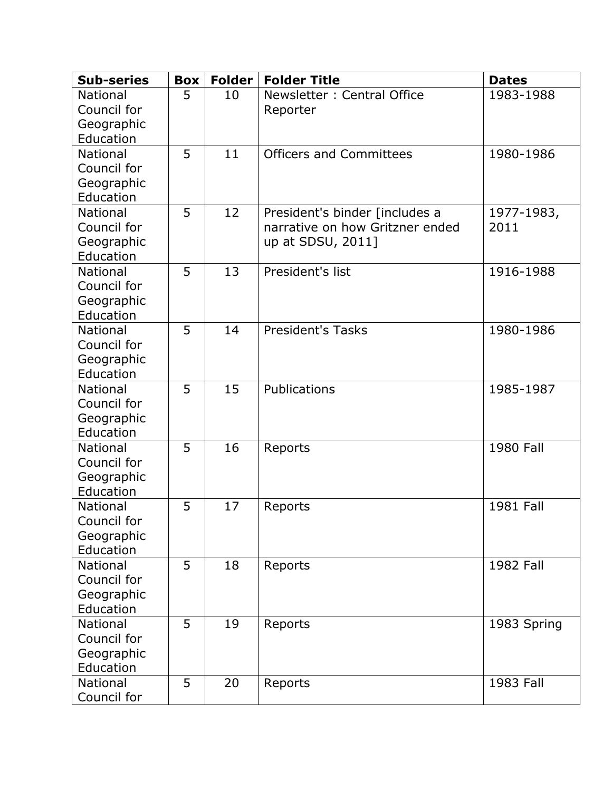| <b>Sub-series</b>       | <b>Box</b> | <b>Folder</b> | <b>Folder Title</b>             | <b>Dates</b> |
|-------------------------|------------|---------------|---------------------------------|--------------|
| <b>National</b>         | 5          | 10            | Newsletter: Central Office      | 1983-1988    |
| Council for             |            |               | Reporter                        |              |
| Geographic              |            |               |                                 |              |
| Education               |            |               |                                 |              |
| National                | 5          | 11            | <b>Officers and Committees</b>  | 1980-1986    |
| Council for             |            |               |                                 |              |
| Geographic              |            |               |                                 |              |
| Education               |            |               |                                 |              |
| <b>National</b>         | 5          | 12            | President's binder [includes a  | 1977-1983,   |
| Council for             |            |               | narrative on how Gritzner ended | 2011         |
| Geographic              |            |               | up at SDSU, 2011]               |              |
| Education               |            |               |                                 |              |
| <b>National</b>         | 5          | 13            | President's list                | 1916-1988    |
| Council for             |            |               |                                 |              |
| Geographic<br>Education |            |               |                                 |              |
| <b>National</b>         | 5          | 14            | <b>President's Tasks</b>        | 1980-1986    |
| Council for             |            |               |                                 |              |
| Geographic              |            |               |                                 |              |
| Education               |            |               |                                 |              |
| <b>National</b>         | 5          | 15            | Publications                    | 1985-1987    |
| Council for             |            |               |                                 |              |
| Geographic              |            |               |                                 |              |
| Education               |            |               |                                 |              |
| <b>National</b>         | 5          | 16            | Reports                         | 1980 Fall    |
| Council for             |            |               |                                 |              |
| Geographic              |            |               |                                 |              |
| Education               |            |               |                                 |              |
| <b>National</b>         | 5          | 17            | Reports                         | 1981 Fall    |
| Council for             |            |               |                                 |              |
| Geographic              |            |               |                                 |              |
| Education               |            |               |                                 |              |
| <b>National</b>         | 5          | 18            | Reports                         | 1982 Fall    |
| Council for             |            |               |                                 |              |
| Geographic              |            |               |                                 |              |
| Education               |            |               |                                 |              |
| National                | 5          | 19            | Reports                         | 1983 Spring  |
| Council for             |            |               |                                 |              |
| Geographic              |            |               |                                 |              |
| Education               |            |               |                                 |              |
| <b>National</b>         | 5          | 20            | Reports                         | 1983 Fall    |
| Council for             |            |               |                                 |              |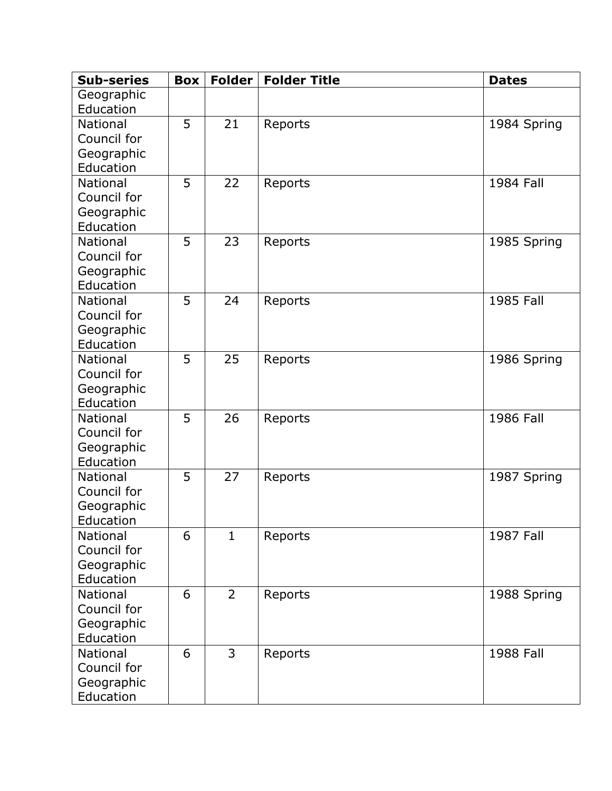| <b>Sub-series</b>            | <b>Box</b> | <b>Folder</b>  | <b>Folder Title</b> | <b>Dates</b>     |
|------------------------------|------------|----------------|---------------------|------------------|
| Geographic                   |            |                |                     |                  |
| Education                    |            |                |                     |                  |
| <b>National</b>              | 5          | 21             | Reports             | 1984 Spring      |
| Council for                  |            |                |                     |                  |
| Geographic                   |            |                |                     |                  |
| Education                    |            |                |                     |                  |
| <b>National</b>              | 5          | 22             | Reports             | 1984 Fall        |
| Council for                  |            |                |                     |                  |
| Geographic                   |            |                |                     |                  |
| Education                    |            |                |                     |                  |
| <b>National</b>              | 5          | 23             | Reports             | 1985 Spring      |
| Council for                  |            |                |                     |                  |
| Geographic                   |            |                |                     |                  |
| Education                    |            |                |                     |                  |
| <b>National</b>              | 5          | 24             | Reports             | 1985 Fall        |
| Council for                  |            |                |                     |                  |
| Geographic                   |            |                |                     |                  |
| Education<br><b>National</b> | 5          |                |                     |                  |
| Council for                  |            | 25             | Reports             | 1986 Spring      |
|                              |            |                |                     |                  |
| Geographic<br>Education      |            |                |                     |                  |
| <b>National</b>              | 5          | 26             | Reports             | 1986 Fall        |
| Council for                  |            |                |                     |                  |
| Geographic                   |            |                |                     |                  |
| Education                    |            |                |                     |                  |
| National                     | 5          | 27             | Reports             | 1987 Spring      |
| Council for                  |            |                |                     |                  |
| Geographic                   |            |                |                     |                  |
| Education                    |            |                |                     |                  |
| <b>National</b>              | 6          | $\mathbf{1}$   | Reports             | <b>1987 Fall</b> |
| Council for                  |            |                |                     |                  |
| Geographic                   |            |                |                     |                  |
| Education                    |            |                |                     |                  |
| <b>National</b>              | 6          | $\overline{2}$ | Reports             | 1988 Spring      |
| Council for                  |            |                |                     |                  |
| Geographic                   |            |                |                     |                  |
| Education                    |            |                |                     |                  |
| National                     | 6          | $\overline{3}$ | Reports             | 1988 Fall        |
| Council for                  |            |                |                     |                  |
| Geographic                   |            |                |                     |                  |
| Education                    |            |                |                     |                  |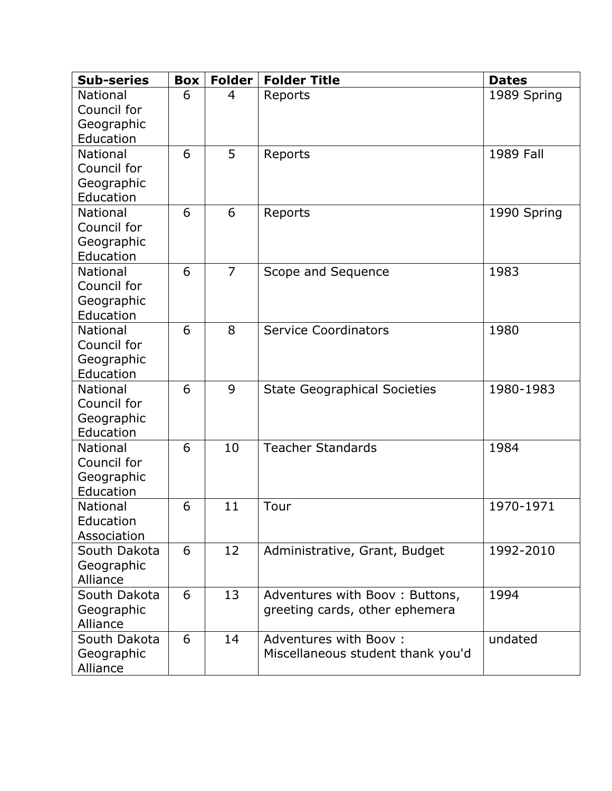| <b>Sub-series</b> | <b>Box</b> | <b>Folder</b>  | <b>Folder Title</b>                 | <b>Dates</b> |
|-------------------|------------|----------------|-------------------------------------|--------------|
| <b>National</b>   | 6          | 4              | Reports                             | 1989 Spring  |
| Council for       |            |                |                                     |              |
| Geographic        |            |                |                                     |              |
| Education         |            |                |                                     |              |
| <b>National</b>   | 6          | 5              | Reports                             | 1989 Fall    |
| Council for       |            |                |                                     |              |
| Geographic        |            |                |                                     |              |
| Education         |            |                |                                     |              |
| <b>National</b>   | 6          | 6              | Reports                             | 1990 Spring  |
| Council for       |            |                |                                     |              |
| Geographic        |            |                |                                     |              |
| Education         |            |                |                                     |              |
| <b>National</b>   | 6          | $\overline{7}$ | Scope and Sequence                  | 1983         |
| Council for       |            |                |                                     |              |
| Geographic        |            |                |                                     |              |
| Education         |            |                |                                     |              |
| <b>National</b>   | 6          | 8              | <b>Service Coordinators</b>         | 1980         |
| Council for       |            |                |                                     |              |
| Geographic        |            |                |                                     |              |
| Education         |            |                |                                     |              |
| <b>National</b>   | 6          | 9              | <b>State Geographical Societies</b> | 1980-1983    |
| Council for       |            |                |                                     |              |
| Geographic        |            |                |                                     |              |
| Education         |            |                |                                     |              |
| <b>National</b>   | 6          | 10             | <b>Teacher Standards</b>            | 1984         |
| Council for       |            |                |                                     |              |
| Geographic        |            |                |                                     |              |
| Education         |            |                |                                     |              |
| <b>National</b>   | 6          | 11             | Tour                                | 1970-1971    |
| Education         |            |                |                                     |              |
| Association       |            |                |                                     |              |
| South Dakota      | 6          | 12             | Administrative, Grant, Budget       | 1992-2010    |
| Geographic        |            |                |                                     |              |
| Alliance          |            |                |                                     |              |
| South Dakota      | 6          | 13             | Adventures with Boov: Buttons,      | 1994         |
| Geographic        |            |                | greeting cards, other ephemera      |              |
| Alliance          |            |                |                                     |              |
| South Dakota      | 6          | 14             | Adventures with Boov:               | undated      |
| Geographic        |            |                | Miscellaneous student thank you'd   |              |
| Alliance          |            |                |                                     |              |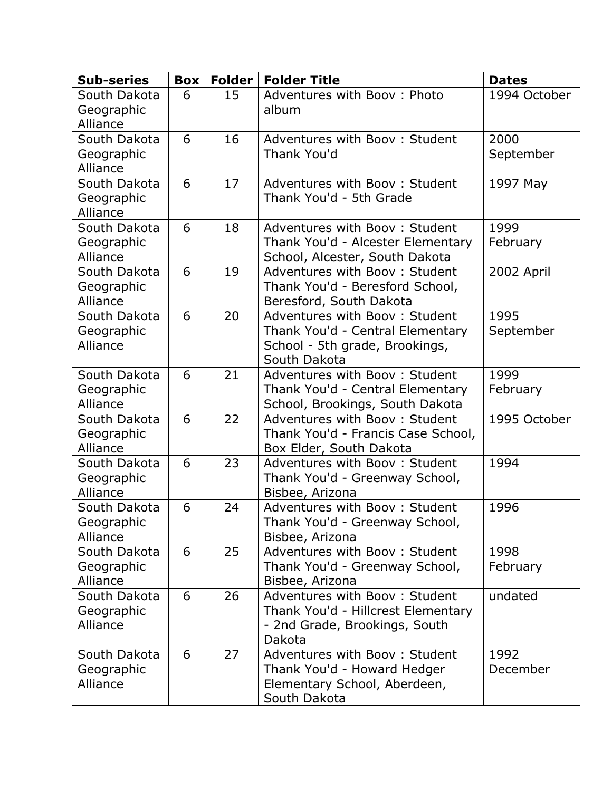| <b>Sub-series</b>                      | <b>Box</b> | <b>Folder</b> | <b>Folder Title</b>                                                                                                 | <b>Dates</b>      |
|----------------------------------------|------------|---------------|---------------------------------------------------------------------------------------------------------------------|-------------------|
| South Dakota<br>Geographic<br>Alliance | 6          | 15            | Adventures with Boov: Photo<br>album                                                                                | 1994 October      |
| South Dakota<br>Geographic<br>Alliance | 6          | 16            | Adventures with Boov: Student<br>Thank You'd                                                                        | 2000<br>September |
| South Dakota<br>Geographic<br>Alliance | 6          | 17            | Adventures with Booy: Student<br>Thank You'd - 5th Grade                                                            | 1997 May          |
| South Dakota<br>Geographic<br>Alliance | 6          | 18            | Adventures with Booy: Student<br>Thank You'd - Alcester Elementary<br>School, Alcester, South Dakota                | 1999<br>February  |
| South Dakota<br>Geographic<br>Alliance | 6          | 19            | Adventures with Boov: Student<br>Thank You'd - Beresford School,<br>Beresford, South Dakota                         | 2002 April        |
| South Dakota<br>Geographic<br>Alliance | 6          | 20            | Adventures with Boov: Student<br>Thank You'd - Central Elementary<br>School - 5th grade, Brookings,<br>South Dakota | 1995<br>September |
| South Dakota<br>Geographic<br>Alliance | 6          | 21            | Adventures with Boov: Student<br>Thank You'd - Central Elementary<br>School, Brookings, South Dakota                | 1999<br>February  |
| South Dakota<br>Geographic<br>Alliance | 6          | 22            | Adventures with Boov: Student<br>Thank You'd - Francis Case School,<br>Box Elder, South Dakota                      | 1995 October      |
| South Dakota<br>Geographic<br>Alliance | 6          | 23            | Adventures with Booy: Student<br>Thank You'd - Greenway School,<br>Bisbee, Arizona                                  | 1994              |
| South Dakota<br>Geographic<br>Alliance | 6          | 24            | Adventures with Boov: Student<br>Thank You'd - Greenway School,<br>Bisbee, Arizona                                  | 1996              |
| South Dakota<br>Geographic<br>Alliance | 6          | 25            | Adventures with Boov: Student<br>Thank You'd - Greenway School,<br>Bisbee, Arizona                                  | 1998<br>February  |
| South Dakota<br>Geographic<br>Alliance | 6          | 26            | Adventures with Booy: Student<br>Thank You'd - Hillcrest Elementary<br>- 2nd Grade, Brookings, South<br>Dakota      | undated           |
| South Dakota<br>Geographic<br>Alliance | 6          | 27            | Adventures with Booy: Student<br>Thank You'd - Howard Hedger<br>Elementary School, Aberdeen,<br>South Dakota        | 1992<br>December  |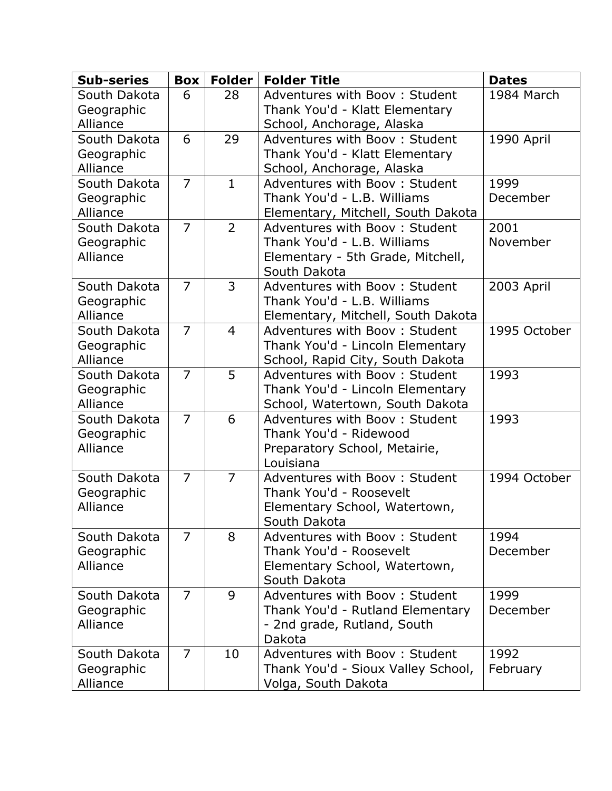| Adventures with Boov: Student<br>1984 March<br>South Dakota<br>6<br>28<br>Thank You'd - Klatt Elementary<br>Geographic |  |
|------------------------------------------------------------------------------------------------------------------------|--|
|                                                                                                                        |  |
|                                                                                                                        |  |
| Alliance<br>School, Anchorage, Alaska                                                                                  |  |
| 6<br>29<br>Adventures with Boov: Student<br>South Dakota<br>1990 April                                                 |  |
| Thank You'd - Klatt Elementary<br>Geographic                                                                           |  |
| Alliance<br>School, Anchorage, Alaska                                                                                  |  |
| $\overline{7}$<br>$\mathbf{1}$<br>South Dakota<br>Adventures with Booy: Student<br>1999                                |  |
| Thank You'd - L.B. Williams<br>December<br>Geographic                                                                  |  |
| Alliance<br>Elementary, Mitchell, South Dakota                                                                         |  |
| $\overline{7}$<br>$\overline{2}$<br>2001<br>South Dakota<br>Adventures with Booy: Student                              |  |
| November<br>Thank You'd - L.B. Williams<br>Geographic                                                                  |  |
| Alliance<br>Elementary - 5th Grade, Mitchell,                                                                          |  |
| South Dakota                                                                                                           |  |
| $\overline{7}$<br>3<br>2003 April<br>South Dakota<br>Adventures with Boov: Student                                     |  |
| Thank You'd - L.B. Williams<br>Geographic                                                                              |  |
| Alliance<br>Elementary, Mitchell, South Dakota                                                                         |  |
| $\overline{7}$<br>South Dakota<br>$\overline{4}$<br>Adventures with Boov: Student<br>1995 October                      |  |
| Thank You'd - Lincoln Elementary<br>Geographic                                                                         |  |
| Alliance<br>School, Rapid City, South Dakota                                                                           |  |
| $\overline{7}$<br>5<br>South Dakota<br>Adventures with Booy: Student<br>1993                                           |  |
| Thank You'd - Lincoln Elementary<br>Geographic                                                                         |  |
| Alliance<br>School, Watertown, South Dakota                                                                            |  |
| $\overline{7}$<br>6<br>1993<br>South Dakota<br>Adventures with Boov: Student                                           |  |
| Thank You'd - Ridewood<br>Geographic                                                                                   |  |
| Alliance<br>Preparatory School, Metairie,                                                                              |  |
| Louisiana                                                                                                              |  |
| $\overline{7}$<br>$\overline{7}$<br>South Dakota<br>Adventures with Boov: Student<br>1994 October                      |  |
| Thank You'd - Roosevelt<br>Geographic                                                                                  |  |
| Alliance<br>Elementary School, Watertown,                                                                              |  |
| South Dakota                                                                                                           |  |
| $\overline{7}$<br>South Dakota<br>8<br>Adventures with Booy: Student<br>1994                                           |  |
| Thank You'd - Roosevelt<br>December<br>Geographic                                                                      |  |
| Alliance<br>Elementary School, Watertown,                                                                              |  |
| South Dakota<br>$\overline{7}$<br>9<br>Adventures with Booy: Student<br>1999<br>South Dakota                           |  |
| December<br>Thank You'd - Rutland Elementary                                                                           |  |
| Geographic<br>Alliance                                                                                                 |  |
| - 2nd grade, Rutland, South<br>Dakota                                                                                  |  |
| $\overline{7}$<br>10<br>Adventures with Booy: Student<br>1992<br>South Dakota                                          |  |
| Thank You'd - Sioux Valley School,<br>February<br>Geographic                                                           |  |
| Alliance<br>Volga, South Dakota                                                                                        |  |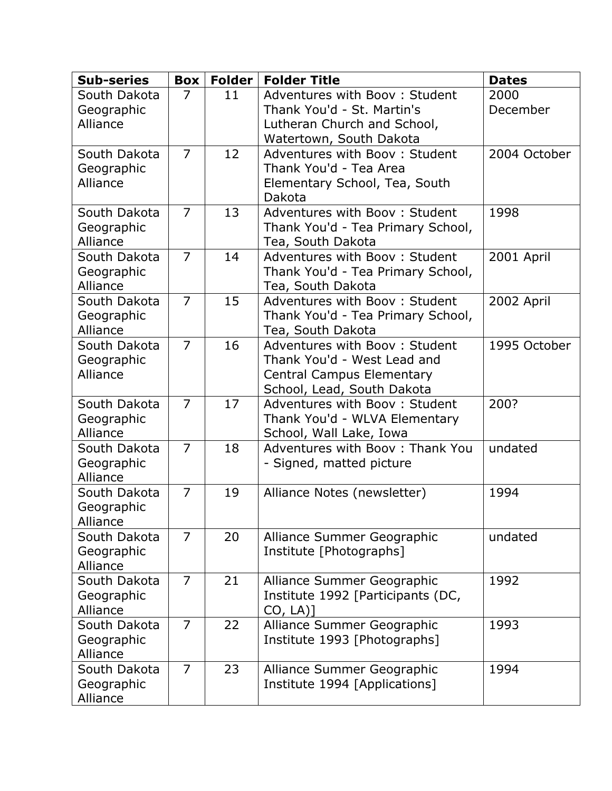| <b>Sub-series</b>          | <b>Box</b>     | <b>Folder</b> | <b>Folder Title</b>                                            | <b>Dates</b> |
|----------------------------|----------------|---------------|----------------------------------------------------------------|--------------|
| South Dakota               | 7              | 11            | Adventures with Boov: Student                                  | 2000         |
| Geographic<br>Alliance     |                |               | Thank You'd - St. Martin's<br>Lutheran Church and School,      | December     |
|                            |                |               | Watertown, South Dakota                                        |              |
| South Dakota               | $\overline{7}$ | 12            | Adventures with Booy: Student                                  | 2004 October |
| Geographic                 |                |               | Thank You'd - Tea Area                                         |              |
| Alliance                   |                |               | Elementary School, Tea, South<br>Dakota                        |              |
| South Dakota               | $\overline{7}$ | 13            | Adventures with Booy: Student                                  | 1998         |
| Geographic<br>Alliance     |                |               | Thank You'd - Tea Primary School,<br>Tea, South Dakota         |              |
| South Dakota               | $\overline{7}$ | 14            | Adventures with Boov: Student                                  | 2001 April   |
| Geographic                 |                |               | Thank You'd - Tea Primary School,                              |              |
| Alliance                   |                |               | Tea, South Dakota                                              |              |
| South Dakota               | $\overline{7}$ | 15            | Adventures with Booy: Student                                  | 2002 April   |
| Geographic<br>Alliance     |                |               | Thank You'd - Tea Primary School,<br>Tea, South Dakota         |              |
| South Dakota               | $\overline{7}$ | 16            | Adventures with Booy: Student                                  | 1995 October |
| Geographic                 |                |               | Thank You'd - West Lead and                                    |              |
| Alliance                   |                |               | <b>Central Campus Elementary</b>                               |              |
|                            | $\overline{7}$ |               | School, Lead, South Dakota                                     |              |
| South Dakota<br>Geographic |                | 17            | Adventures with Booy: Student<br>Thank You'd - WLVA Elementary | 200?         |
| Alliance                   |                |               | School, Wall Lake, Iowa                                        |              |
| South Dakota               | $\overline{7}$ | 18            | Adventures with Booy: Thank You                                | undated      |
| Geographic                 |                |               | - Signed, matted picture                                       |              |
| Alliance<br>South Dakota   | $\overline{7}$ | 19            |                                                                | 1994         |
| Geographic                 |                |               | Alliance Notes (newsletter)                                    |              |
| Alliance                   |                |               |                                                                |              |
| South Dakota               | $\overline{7}$ | 20            | Alliance Summer Geographic                                     | undated      |
| Geographic                 |                |               | Institute [Photographs]                                        |              |
| Alliance<br>South Dakota   | $\overline{7}$ | 21            | Alliance Summer Geographic                                     | 1992         |
| Geographic                 |                |               | Institute 1992 [Participants (DC,                              |              |
| Alliance                   |                |               | $CO, LA$ ]                                                     |              |
| South Dakota               | $\overline{7}$ | 22            | Alliance Summer Geographic                                     | 1993         |
| Geographic<br>Alliance     |                |               | Institute 1993 [Photographs]                                   |              |
| South Dakota               | $\overline{7}$ | 23            | Alliance Summer Geographic                                     | 1994         |
| Geographic                 |                |               | Institute 1994 [Applications]                                  |              |
| Alliance                   |                |               |                                                                |              |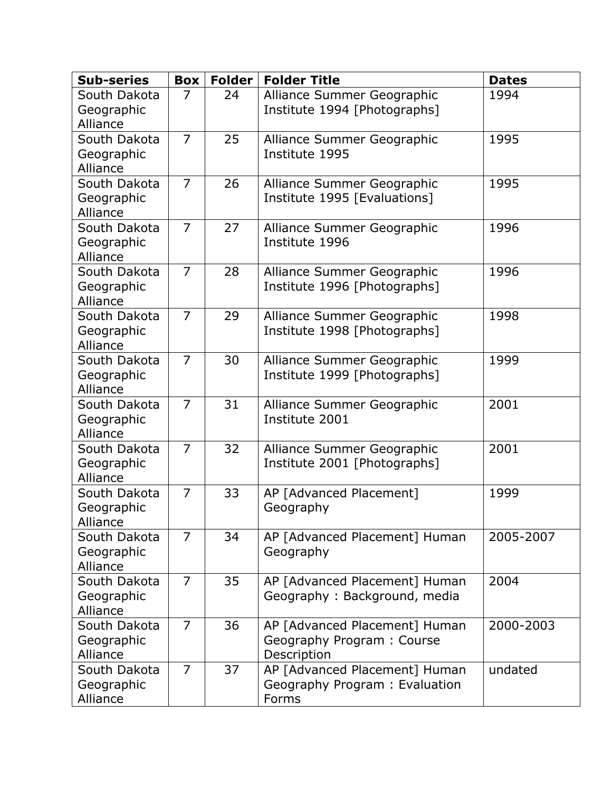| <b>Sub-series</b>                      | <b>Box</b>     | <b>Folder</b> | <b>Folder Title</b>                                                       | <b>Dates</b> |
|----------------------------------------|----------------|---------------|---------------------------------------------------------------------------|--------------|
| South Dakota<br>Geographic<br>Alliance | 7              | 24            | Alliance Summer Geographic<br>Institute 1994 [Photographs]                | 1994         |
| South Dakota<br>Geographic<br>Alliance | $\overline{7}$ | 25            | Alliance Summer Geographic<br>Institute 1995                              | 1995         |
| South Dakota<br>Geographic<br>Alliance | $\overline{7}$ | 26            | Alliance Summer Geographic<br>Institute 1995 [Evaluations]                | 1995         |
| South Dakota<br>Geographic<br>Alliance | $\overline{7}$ | 27            | Alliance Summer Geographic<br>Institute 1996                              | 1996         |
| South Dakota<br>Geographic<br>Alliance | $\overline{7}$ | 28            | Alliance Summer Geographic<br>Institute 1996 [Photographs]                | 1996         |
| South Dakota<br>Geographic<br>Alliance | $\overline{7}$ | 29            | Alliance Summer Geographic<br>Institute 1998 [Photographs]                | 1998         |
| South Dakota<br>Geographic<br>Alliance | $\overline{7}$ | 30            | Alliance Summer Geographic<br>Institute 1999 [Photographs]                | 1999         |
| South Dakota<br>Geographic<br>Alliance | $\overline{7}$ | 31            | Alliance Summer Geographic<br>Institute 2001                              | 2001         |
| South Dakota<br>Geographic<br>Alliance | $\overline{7}$ | 32            | Alliance Summer Geographic<br>Institute 2001 [Photographs]                | 2001         |
| South Dakota<br>Geographic<br>Alliance | $\overline{7}$ | 33            | AP [Advanced Placement]<br>Geography                                      | 1999         |
| South Dakota<br>Geographic<br>Alliance | $\overline{7}$ | 34            | AP [Advanced Placement] Human<br>Geography                                | 2005-2007    |
| South Dakota<br>Geographic<br>Alliance | $\overline{7}$ | 35            | AP [Advanced Placement] Human<br>Geography: Background, media             | 2004         |
| South Dakota<br>Geographic<br>Alliance | $\overline{7}$ | 36            | AP [Advanced Placement] Human<br>Geography Program: Course<br>Description | 2000-2003    |
| South Dakota<br>Geographic<br>Alliance | $\overline{7}$ | 37            | AP [Advanced Placement] Human<br>Geography Program: Evaluation<br>Forms   | undated      |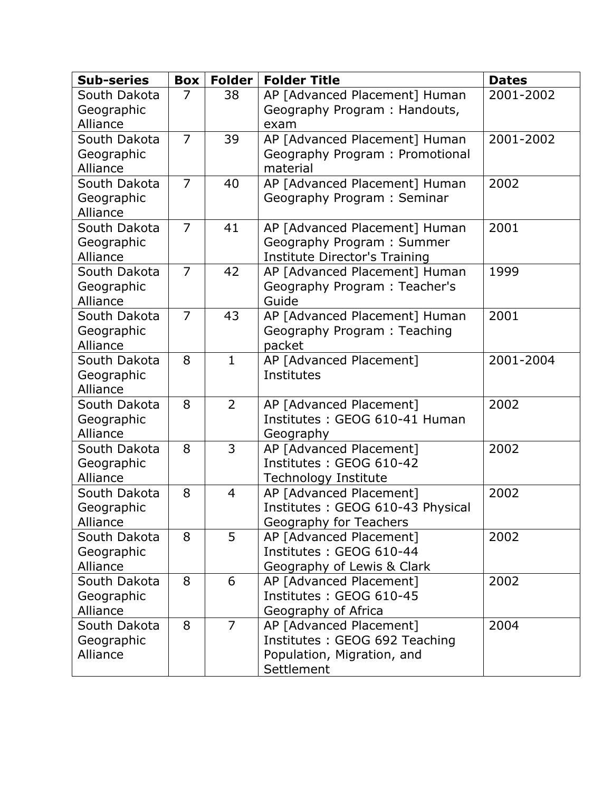| <b>Sub-series</b>        | Box            | <b>Folder</b>  | <b>Folder Title</b>                                         | <b>Dates</b> |
|--------------------------|----------------|----------------|-------------------------------------------------------------|--------------|
| South Dakota             | 7              | 38             | AP [Advanced Placement] Human                               | 2001-2002    |
| Geographic<br>Alliance   |                |                | Geography Program: Handouts,<br>exam                        |              |
| South Dakota             | $\overline{7}$ | 39             | AP [Advanced Placement] Human                               | 2001-2002    |
| Geographic               |                |                | Geography Program: Promotional                              |              |
| Alliance                 |                |                | material                                                    |              |
| South Dakota             | $\overline{7}$ | 40             | AP [Advanced Placement] Human                               | 2002         |
| Geographic               |                |                | Geography Program: Seminar                                  |              |
| Alliance                 |                |                |                                                             |              |
| South Dakota             | $\overline{7}$ | 41             | AP [Advanced Placement] Human                               | 2001         |
| Geographic               |                |                | Geography Program: Summer                                   |              |
| Alliance                 |                |                | <b>Institute Director's Training</b>                        |              |
| South Dakota             | $\overline{7}$ | 42             | AP [Advanced Placement] Human                               | 1999         |
| Geographic<br>Alliance   |                |                | Geography Program: Teacher's<br>Guide                       |              |
| South Dakota             | $\overline{7}$ | 43             | AP [Advanced Placement] Human                               | 2001         |
| Geographic               |                |                | Geography Program: Teaching                                 |              |
| Alliance                 |                |                | packet                                                      |              |
| South Dakota             | 8              | $\mathbf{1}$   | AP [Advanced Placement]                                     | 2001-2004    |
| Geographic               |                |                | Institutes                                                  |              |
| Alliance                 |                |                |                                                             |              |
| South Dakota             | 8              | $\overline{2}$ | AP [Advanced Placement]                                     | 2002         |
| Geographic               |                |                | Institutes: GEOG 610-41 Human                               |              |
| Alliance                 |                |                | Geography                                                   |              |
| South Dakota             | 8              | 3              | AP [Advanced Placement]                                     | 2002         |
| Geographic               |                |                | Institutes: GEOG 610-42                                     |              |
| Alliance<br>South Dakota | 8              | $\overline{4}$ | <b>Technology Institute</b>                                 | 2002         |
| Geographic               |                |                | AP [Advanced Placement]<br>Institutes: GEOG 610-43 Physical |              |
| Alliance                 |                |                | Geography for Teachers                                      |              |
| South Dakota             | 8              | 5              | AP [Advanced Placement]                                     | 2002         |
| Geographic               |                |                | Institutes: GEOG 610-44                                     |              |
| Alliance                 |                |                | Geography of Lewis & Clark                                  |              |
| South Dakota             | 8              | 6              | AP [Advanced Placement]                                     | 2002         |
| Geographic               |                |                | Institutes: GEOG 610-45                                     |              |
| Alliance                 |                |                | Geography of Africa                                         |              |
| South Dakota             | 8              | $\overline{7}$ | AP [Advanced Placement]                                     | 2004         |
| Geographic               |                |                | Institutes: GEOG 692 Teaching                               |              |
| Alliance                 |                |                | Population, Migration, and                                  |              |
|                          |                |                | Settlement                                                  |              |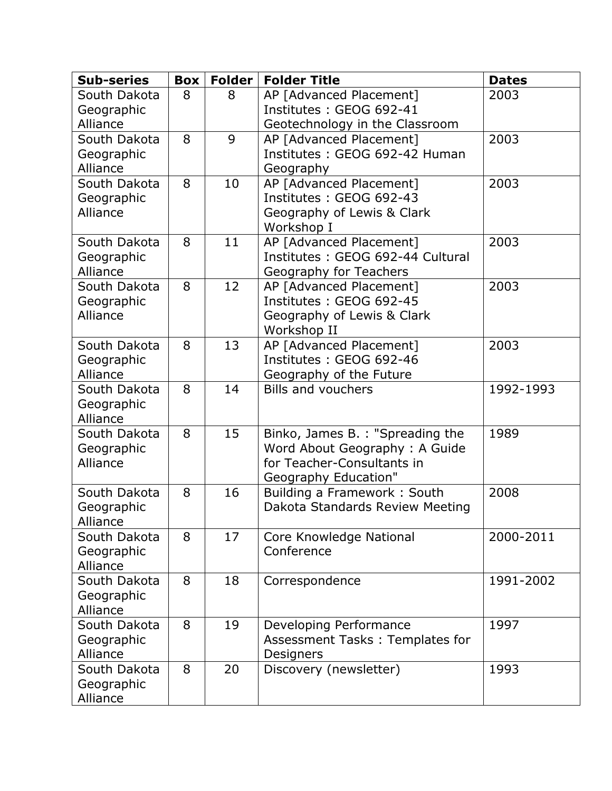| <b>Sub-series</b>          | <b>Box</b> | Folder | <b>Folder Title</b>                                               | <b>Dates</b> |
|----------------------------|------------|--------|-------------------------------------------------------------------|--------------|
| South Dakota               | 8          | 8      | AP [Advanced Placement]                                           | 2003         |
| Geographic                 |            |        | Institutes: GEOG 692-41                                           |              |
| Alliance<br>South Dakota   | 8          | 9      | Geotechnology in the Classroom<br>AP [Advanced Placement]         | 2003         |
| Geographic                 |            |        | Institutes: GEOG 692-42 Human                                     |              |
| Alliance                   |            |        | Geography                                                         |              |
| South Dakota               | 8          | 10     | AP [Advanced Placement]                                           | 2003         |
| Geographic                 |            |        | Institutes: GEOG 692-43                                           |              |
| Alliance                   |            |        | Geography of Lewis & Clark                                        |              |
|                            |            |        | Workshop I                                                        |              |
| South Dakota               | 8          | 11     | AP [Advanced Placement]                                           | 2003         |
| Geographic                 |            |        | Institutes: GEOG 692-44 Cultural                                  |              |
| Alliance                   | 8          | 12     | <b>Geography for Teachers</b>                                     |              |
| South Dakota<br>Geographic |            |        | AP [Advanced Placement]<br>Institutes: GEOG 692-45                | 2003         |
| Alliance                   |            |        | Geography of Lewis & Clark                                        |              |
|                            |            |        | Workshop II                                                       |              |
| South Dakota               | 8          | 13     | AP [Advanced Placement]                                           | 2003         |
| Geographic                 |            |        | Institutes: GEOG 692-46                                           |              |
| Alliance                   |            |        | Geography of the Future                                           |              |
| South Dakota               | 8          | 14     | <b>Bills and vouchers</b>                                         | 1992-1993    |
| Geographic                 |            |        |                                                                   |              |
| Alliance                   |            |        |                                                                   |              |
| South Dakota<br>Geographic | 8          | 15     | Binko, James B. : "Spreading the<br>Word About Geography: A Guide | 1989         |
| Alliance                   |            |        | for Teacher-Consultants in                                        |              |
|                            |            |        | <b>Geography Education"</b>                                       |              |
| South Dakota               | 8          | 16     | Building a Framework: South                                       | 2008         |
| Geographic                 |            |        | Dakota Standards Review Meeting                                   |              |
| Alliance                   |            |        |                                                                   |              |
| South Dakota               | 8          | 17     | Core Knowledge National                                           | 2000-2011    |
| Geographic                 |            |        | Conference                                                        |              |
| Alliance                   | 8          |        |                                                                   |              |
| South Dakota<br>Geographic |            | 18     | Correspondence                                                    | 1991-2002    |
| Alliance                   |            |        |                                                                   |              |
| South Dakota               | 8          | 19     | Developing Performance                                            | 1997         |
| Geographic                 |            |        | Assessment Tasks: Templates for                                   |              |
| Alliance                   |            |        | Designers                                                         |              |
| South Dakota               | 8          | 20     | Discovery (newsletter)                                            | 1993         |
| Geographic                 |            |        |                                                                   |              |
| Alliance                   |            |        |                                                                   |              |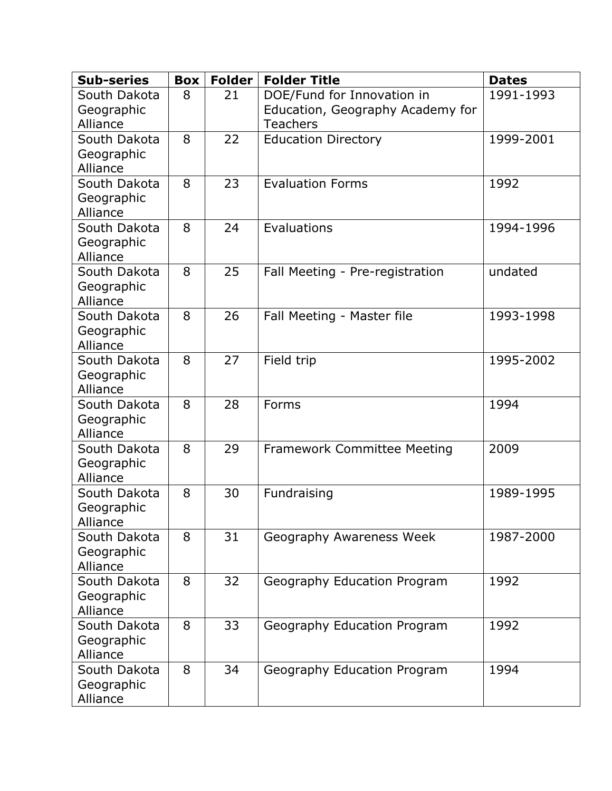| <b>Sub-series</b>          | <b>Box</b> | <b>Folder</b> | <b>Folder Title</b>                | <b>Dates</b> |
|----------------------------|------------|---------------|------------------------------------|--------------|
| South Dakota               | 8          | 21            | DOE/Fund for Innovation in         | 1991-1993    |
| Geographic                 |            |               | Education, Geography Academy for   |              |
| Alliance                   |            |               | <b>Teachers</b>                    |              |
| South Dakota               | 8          | 22            | <b>Education Directory</b>         | 1999-2001    |
| Geographic<br>Alliance     |            |               |                                    |              |
| South Dakota               | 8          | 23            | <b>Evaluation Forms</b>            | 1992         |
| Geographic                 |            |               |                                    |              |
| Alliance                   |            |               |                                    |              |
| South Dakota               | 8          | 24            | Evaluations                        | 1994-1996    |
| Geographic                 |            |               |                                    |              |
| Alliance                   |            |               |                                    |              |
| South Dakota               | 8          | 25            | Fall Meeting - Pre-registration    | undated      |
| Geographic                 |            |               |                                    |              |
| Alliance                   |            |               |                                    |              |
| South Dakota               | 8          | 26            | Fall Meeting - Master file         | 1993-1998    |
| Geographic                 |            |               |                                    |              |
| Alliance<br>South Dakota   | 8          | 27            | Field trip                         | 1995-2002    |
| Geographic                 |            |               |                                    |              |
| Alliance                   |            |               |                                    |              |
| South Dakota               | 8          | 28            | Forms                              | 1994         |
| Geographic                 |            |               |                                    |              |
| Alliance                   |            |               |                                    |              |
| South Dakota               | 8          | 29            | <b>Framework Committee Meeting</b> | 2009         |
| Geographic                 |            |               |                                    |              |
| Alliance                   | 8          |               |                                    |              |
| South Dakota<br>Geographic |            | 30            | Fundraising                        | 1989-1995    |
| Alliance                   |            |               |                                    |              |
| South Dakota               | 8          | 31            | Geography Awareness Week           | 1987-2000    |
| Geographic                 |            |               |                                    |              |
| Alliance                   |            |               |                                    |              |
| South Dakota               | 8          | 32            | Geography Education Program        | 1992         |
| Geographic                 |            |               |                                    |              |
| Alliance                   |            |               |                                    |              |
| South Dakota               | 8          | 33            | Geography Education Program        | 1992         |
| Geographic                 |            |               |                                    |              |
| Alliance<br>South Dakota   | 8          | 34            |                                    | 1994         |
| Geographic                 |            |               | Geography Education Program        |              |
| Alliance                   |            |               |                                    |              |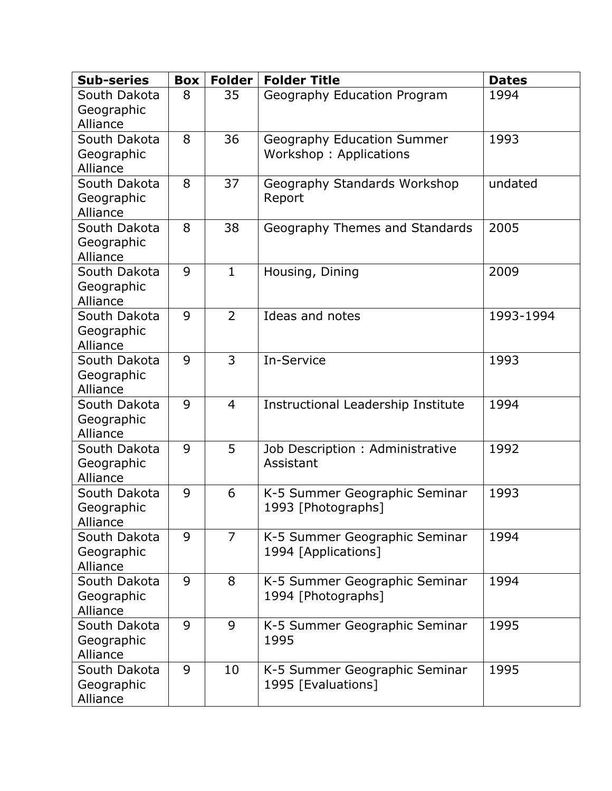| <b>Sub-series</b>                      | <b>Box</b> | <b>Folder</b>  | <b>Folder Title</b>                                  | <b>Dates</b> |
|----------------------------------------|------------|----------------|------------------------------------------------------|--------------|
| South Dakota<br>Geographic<br>Alliance | 8          | 35             | Geography Education Program                          | 1994         |
| South Dakota<br>Geographic<br>Alliance | 8          | 36             | Geography Education Summer<br>Workshop: Applications | 1993         |
| South Dakota<br>Geographic<br>Alliance | 8          | 37             | Geography Standards Workshop<br>Report               | undated      |
| South Dakota<br>Geographic<br>Alliance | 8          | 38             | Geography Themes and Standards                       | 2005         |
| South Dakota<br>Geographic<br>Alliance | 9          | $\mathbf{1}$   | Housing, Dining                                      | 2009         |
| South Dakota<br>Geographic<br>Alliance | 9          | $\overline{2}$ | Ideas and notes                                      | 1993-1994    |
| South Dakota<br>Geographic<br>Alliance | 9          | $\overline{3}$ | In-Service                                           | 1993         |
| South Dakota<br>Geographic<br>Alliance | 9          | $\overline{4}$ | Instructional Leadership Institute                   | 1994         |
| South Dakota<br>Geographic<br>Alliance | 9          | 5              | Job Description: Administrative<br>Assistant         | 1992         |
| South Dakota<br>Geographic<br>Alliance | 9          | 6              | K-5 Summer Geographic Seminar<br>1993 [Photographs]  | 1993         |
| South Dakota<br>Geographic<br>Alliance | 9          | $\overline{7}$ | K-5 Summer Geographic Seminar<br>1994 [Applications] | 1994         |
| South Dakota<br>Geographic<br>Alliance | 9          | 8              | K-5 Summer Geographic Seminar<br>1994 [Photographs]  | 1994         |
| South Dakota<br>Geographic<br>Alliance | 9          | 9              | K-5 Summer Geographic Seminar<br>1995                | 1995         |
| South Dakota<br>Geographic<br>Alliance | 9          | 10             | K-5 Summer Geographic Seminar<br>1995 [Evaluations]  | 1995         |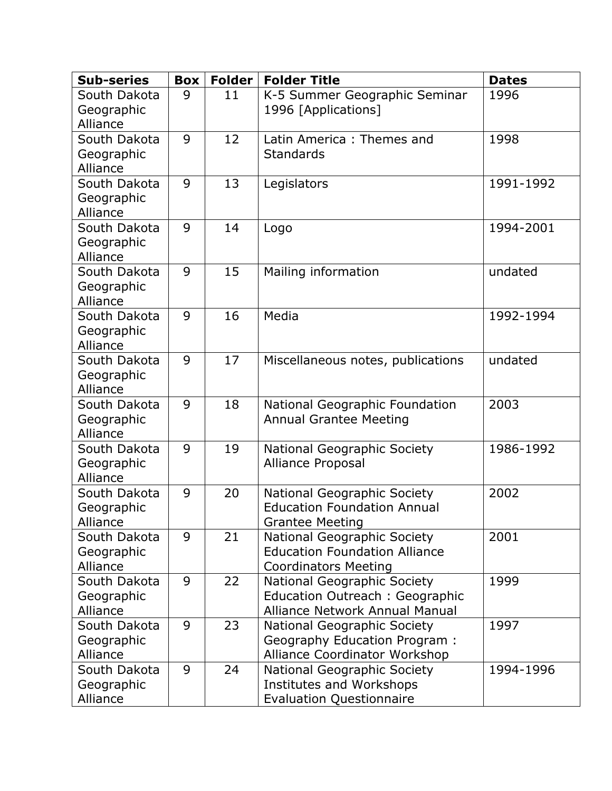| <b>Sub-series</b>                      | <b>Box</b> | Folder | <b>Folder Title</b>                                                                                | <b>Dates</b> |
|----------------------------------------|------------|--------|----------------------------------------------------------------------------------------------------|--------------|
| South Dakota<br>Geographic<br>Alliance | 9          | 11     | K-5 Summer Geographic Seminar<br>1996 [Applications]                                               | 1996         |
| South Dakota<br>Geographic<br>Alliance | 9          | 12     | Latin America: Themes and<br><b>Standards</b>                                                      | 1998         |
| South Dakota<br>Geographic<br>Alliance | 9          | 13     | Legislators                                                                                        | 1991-1992    |
| South Dakota<br>Geographic<br>Alliance | 9          | 14     | Logo                                                                                               | 1994-2001    |
| South Dakota<br>Geographic<br>Alliance | 9          | 15     | Mailing information                                                                                | undated      |
| South Dakota<br>Geographic<br>Alliance | 9          | 16     | Media                                                                                              | 1992-1994    |
| South Dakota<br>Geographic<br>Alliance | 9          | 17     | Miscellaneous notes, publications                                                                  | undated      |
| South Dakota<br>Geographic<br>Alliance | 9          | 18     | National Geographic Foundation<br><b>Annual Grantee Meeting</b>                                    | 2003         |
| South Dakota<br>Geographic<br>Alliance | 9          | 19     | National Geographic Society<br><b>Alliance Proposal</b>                                            | 1986-1992    |
| South Dakota<br>Geographic<br>Alliance | 9          | 20     | National Geographic Society<br><b>Education Foundation Annual</b><br><b>Grantee Meeting</b>        | 2002         |
| South Dakota<br>Geographic<br>Alliance | 9          | 21     | National Geographic Society<br><b>Education Foundation Alliance</b><br><b>Coordinators Meeting</b> | 2001         |
| South Dakota<br>Geographic<br>Alliance | 9          | 22     | National Geographic Society<br>Education Outreach: Geographic<br>Alliance Network Annual Manual    | 1999         |
| South Dakota<br>Geographic<br>Alliance | 9          | 23     | National Geographic Society<br>Geography Education Program:<br>Alliance Coordinator Workshop       | 1997         |
| South Dakota<br>Geographic<br>Alliance | 9          | 24     | National Geographic Society<br><b>Institutes and Workshops</b><br><b>Evaluation Questionnaire</b>  | 1994-1996    |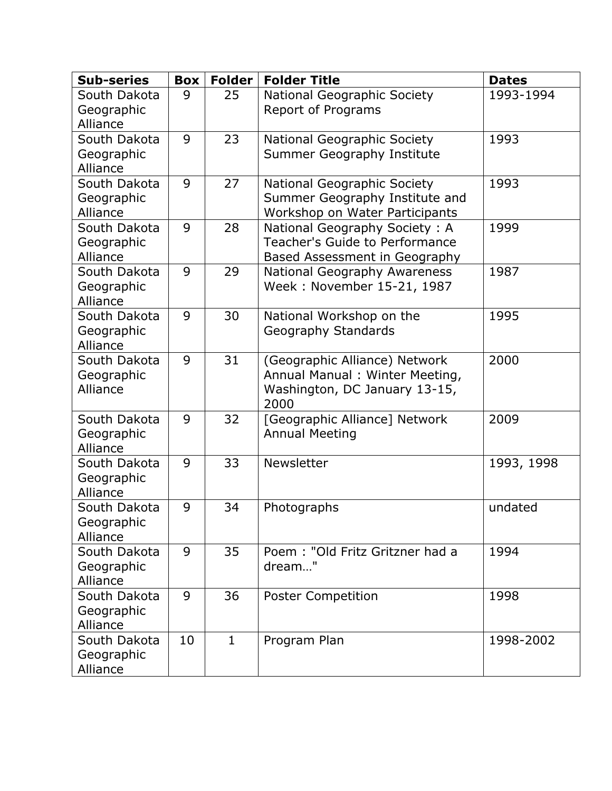| <b>Sub-series</b>                      | <b>Box</b> | <b>Folder</b> | <b>Folder Title</b>                                                                                      | <b>Dates</b> |
|----------------------------------------|------------|---------------|----------------------------------------------------------------------------------------------------------|--------------|
| South Dakota<br>Geographic<br>Alliance | 9          | 25            | National Geographic Society<br><b>Report of Programs</b>                                                 | 1993-1994    |
| South Dakota<br>Geographic<br>Alliance | 9          | 23            | National Geographic Society<br>Summer Geography Institute                                                | 1993         |
| South Dakota<br>Geographic<br>Alliance | 9          | 27            | National Geographic Society<br>Summer Geography Institute and<br>Workshop on Water Participants          | 1993         |
| South Dakota<br>Geographic<br>Alliance | 9          | 28            | National Geography Society: A<br>Teacher's Guide to Performance<br>Based Assessment in Geography         | 1999         |
| South Dakota<br>Geographic<br>Alliance | 9          | 29            | National Geography Awareness<br>Week: November 15-21, 1987                                               | 1987         |
| South Dakota<br>Geographic<br>Alliance | 9          | 30            | National Workshop on the<br><b>Geography Standards</b>                                                   | 1995         |
| South Dakota<br>Geographic<br>Alliance | 9          | 31            | (Geographic Alliance) Network<br>Annual Manual: Winter Meeting,<br>Washington, DC January 13-15,<br>2000 | 2000         |
| South Dakota<br>Geographic<br>Alliance | 9          | 32            | [Geographic Alliance] Network<br><b>Annual Meeting</b>                                                   | 2009         |
| South Dakota<br>Geographic<br>Alliance | 9          | 33            | Newsletter                                                                                               | 1993, 1998   |
| South Dakota<br>Geographic<br>Alliance | 9          | 34            | Photographs                                                                                              | undated      |
| South Dakota<br>Geographic<br>Alliance | 9          | 35            | Poem: "Old Fritz Gritzner had a<br>dream"                                                                | 1994         |
| South Dakota<br>Geographic<br>Alliance | 9          | 36            | <b>Poster Competition</b>                                                                                | 1998         |
| South Dakota<br>Geographic<br>Alliance | 10         | $\mathbf{1}$  | Program Plan                                                                                             | 1998-2002    |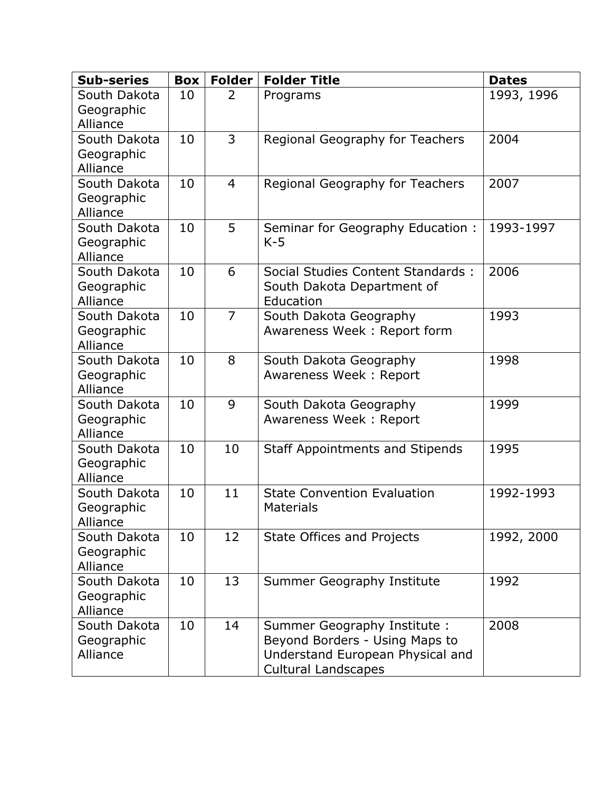| <b>Sub-series</b>                      | <b>Box</b> | <b>Folder</b>  | <b>Folder Title</b>                                                                                                              | <b>Dates</b> |
|----------------------------------------|------------|----------------|----------------------------------------------------------------------------------------------------------------------------------|--------------|
| South Dakota<br>Geographic<br>Alliance | 10         | 2              | Programs                                                                                                                         | 1993, 1996   |
| South Dakota<br>Geographic<br>Alliance | 10         | 3              | Regional Geography for Teachers                                                                                                  | 2004         |
| South Dakota<br>Geographic<br>Alliance | 10         | $\overline{4}$ | Regional Geography for Teachers                                                                                                  | 2007         |
| South Dakota<br>Geographic<br>Alliance | 10         | 5              | Seminar for Geography Education:<br>$K-5$                                                                                        | 1993-1997    |
| South Dakota<br>Geographic<br>Alliance | 10         | 6              | Social Studies Content Standards :<br>South Dakota Department of<br>Education                                                    | 2006         |
| South Dakota<br>Geographic<br>Alliance | 10         | $\overline{7}$ | South Dakota Geography<br>Awareness Week: Report form                                                                            | 1993         |
| South Dakota<br>Geographic<br>Alliance | 10         | 8              | South Dakota Geography<br>Awareness Week: Report                                                                                 | 1998         |
| South Dakota<br>Geographic<br>Alliance | 10         | 9              | South Dakota Geography<br>Awareness Week: Report                                                                                 | 1999         |
| South Dakota<br>Geographic<br>Alliance | 10         | 10             | <b>Staff Appointments and Stipends</b>                                                                                           | 1995         |
| South Dakota<br>Geographic<br>Alliance | 10         | 11             | <b>State Convention Evaluation</b><br><b>Materials</b>                                                                           | 1992-1993    |
| South Dakota<br>Geographic<br>Alliance | 10         | 12             | State Offices and Projects                                                                                                       | 1992, 2000   |
| South Dakota<br>Geographic<br>Alliance | 10         | 13             | Summer Geography Institute                                                                                                       | 1992         |
| South Dakota<br>Geographic<br>Alliance | 10         | 14             | Summer Geography Institute :<br>Beyond Borders - Using Maps to<br>Understand European Physical and<br><b>Cultural Landscapes</b> | 2008         |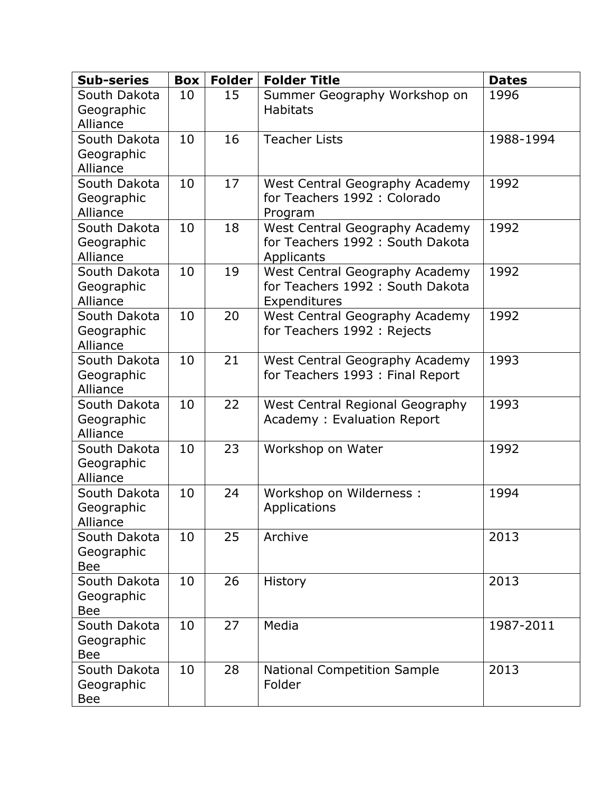| <b>Sub-series</b>                        | <b>Box</b> | <b>Folder</b> | <b>Folder Title</b>                                                                | <b>Dates</b> |
|------------------------------------------|------------|---------------|------------------------------------------------------------------------------------|--------------|
| South Dakota<br>Geographic<br>Alliance   | 10         | 15            | Summer Geography Workshop on<br><b>Habitats</b>                                    | 1996         |
| South Dakota<br>Geographic<br>Alliance   | 10         | 16            | <b>Teacher Lists</b>                                                               | 1988-1994    |
| South Dakota<br>Geographic<br>Alliance   | 10         | 17            | West Central Geography Academy<br>for Teachers 1992 : Colorado<br>Program          | 1992         |
| South Dakota<br>Geographic<br>Alliance   | 10         | 18            | West Central Geography Academy<br>for Teachers 1992 : South Dakota<br>Applicants   | 1992         |
| South Dakota<br>Geographic<br>Alliance   | 10         | 19            | West Central Geography Academy<br>for Teachers 1992 : South Dakota<br>Expenditures | 1992         |
| South Dakota<br>Geographic<br>Alliance   | 10         | 20            | West Central Geography Academy<br>for Teachers 1992 : Rejects                      | 1992         |
| South Dakota<br>Geographic<br>Alliance   | 10         | 21            | West Central Geography Academy<br>for Teachers 1993 : Final Report                 | 1993         |
| South Dakota<br>Geographic<br>Alliance   | 10         | 22            | West Central Regional Geography<br>Academy: Evaluation Report                      | 1993         |
| South Dakota<br>Geographic<br>Alliance   | 10         | 23            | Workshop on Water                                                                  | 1992         |
| South Dakota<br>Geographic<br>Alliance   | 10         | 24            | Workshop on Wilderness:<br>Applications                                            | 1994         |
| South Dakota<br>Geographic<br><b>Bee</b> | 10         | 25            | Archive                                                                            | 2013         |
| South Dakota<br>Geographic<br><b>Bee</b> | 10         | 26            | <b>History</b>                                                                     | 2013         |
| South Dakota<br>Geographic<br><b>Bee</b> | 10         | 27            | Media                                                                              | 1987-2011    |
| South Dakota<br>Geographic<br>Bee        | 10         | 28            | <b>National Competition Sample</b><br>Folder                                       | 2013         |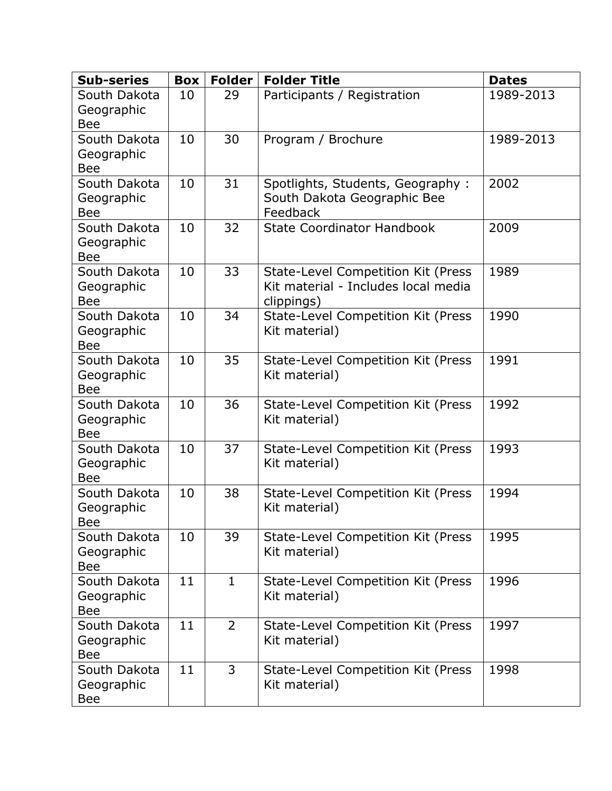| <b>Sub-series</b>                        | <b>Box</b> | <b>Folder</b>  | <b>Folder Title</b>                                                                     | <b>Dates</b> |
|------------------------------------------|------------|----------------|-----------------------------------------------------------------------------------------|--------------|
| South Dakota<br>Geographic<br><b>Bee</b> | 10         | 29             | Participants / Registration                                                             | 1989-2013    |
| South Dakota<br>Geographic<br><b>Bee</b> | 10         | 30             | Program / Brochure                                                                      | 1989-2013    |
| South Dakota<br>Geographic<br><b>Bee</b> | 10         | 31             | Spotlights, Students, Geography:<br>South Dakota Geographic Bee<br>Feedback             | 2002         |
| South Dakota<br>Geographic<br><b>Bee</b> | 10         | 32             | <b>State Coordinator Handbook</b>                                                       | 2009         |
| South Dakota<br>Geographic<br><b>Bee</b> | 10         | 33             | State-Level Competition Kit (Press<br>Kit material - Includes local media<br>clippings) | 1989         |
| South Dakota<br>Geographic<br><b>Bee</b> | 10         | 34             | State-Level Competition Kit (Press<br>Kit material)                                     | 1990         |
| South Dakota<br>Geographic<br><b>Bee</b> | 10         | 35             | State-Level Competition Kit (Press<br>Kit material)                                     | 1991         |
| South Dakota<br>Geographic<br><b>Bee</b> | 10         | 36             | State-Level Competition Kit (Press<br>Kit material)                                     | 1992         |
| South Dakota<br>Geographic<br><b>Bee</b> | 10         | 37             | State-Level Competition Kit (Press<br>Kit material)                                     | 1993         |
| South Dakota<br>Geographic<br>Bee        | 10         | 38             | <b>State-Level Competition Kit (Press)</b><br>Kit material)                             | 1994         |
| South Dakota<br>Geographic<br><b>Bee</b> | 10         | 39             | State-Level Competition Kit (Press<br>Kit material)                                     | 1995         |
| South Dakota<br>Geographic<br><b>Bee</b> | 11         | $\mathbf{1}$   | State-Level Competition Kit (Press<br>Kit material)                                     | 1996         |
| South Dakota<br>Geographic<br><b>Bee</b> | 11         | $\overline{2}$ | State-Level Competition Kit (Press<br>Kit material)                                     | 1997         |
| South Dakota<br>Geographic<br>Bee        | 11         | 3              | State-Level Competition Kit (Press<br>Kit material)                                     | 1998         |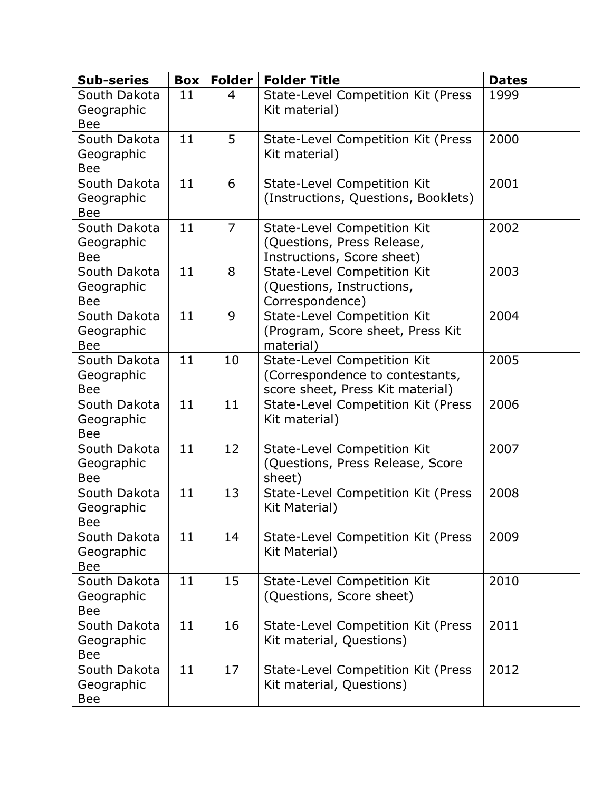| <b>Sub-series</b>                        | <b>Box</b> | <b>Folder</b>  | <b>Folder Title</b>                                                                                       | <b>Dates</b> |
|------------------------------------------|------------|----------------|-----------------------------------------------------------------------------------------------------------|--------------|
| South Dakota<br>Geographic<br><b>Bee</b> | 11         | 4              | State-Level Competition Kit (Press<br>Kit material)                                                       | 1999         |
| South Dakota<br>Geographic<br><b>Bee</b> | 11         | 5              | State-Level Competition Kit (Press<br>Kit material)                                                       | 2000         |
| South Dakota<br>Geographic<br><b>Bee</b> | 11         | 6              | <b>State-Level Competition Kit</b><br>(Instructions, Questions, Booklets)                                 | 2001         |
| South Dakota<br>Geographic<br><b>Bee</b> | 11         | $\overline{7}$ | <b>State-Level Competition Kit</b><br>(Questions, Press Release,<br>Instructions, Score sheet)            | 2002         |
| South Dakota<br>Geographic<br><b>Bee</b> | 11         | 8              | <b>State-Level Competition Kit</b><br>(Questions, Instructions,<br>Correspondence)                        | 2003         |
| South Dakota<br>Geographic<br><b>Bee</b> | 11         | 9              | <b>State-Level Competition Kit</b><br>(Program, Score sheet, Press Kit<br>material)                       | 2004         |
| South Dakota<br>Geographic<br><b>Bee</b> | 11         | 10             | <b>State-Level Competition Kit</b><br>(Correspondence to contestants,<br>score sheet, Press Kit material) | 2005         |
| South Dakota<br>Geographic<br><b>Bee</b> | 11         | 11             | State-Level Competition Kit (Press<br>Kit material)                                                       | 2006         |
| South Dakota<br>Geographic<br><b>Bee</b> | 11         | 12             | <b>State-Level Competition Kit</b><br>(Questions, Press Release, Score<br>sheet)                          | 2007         |
| South Dakota<br>Geographic<br>вее        | 11         | 13             | State-Level Competition Kit (Press<br>Kit Material)                                                       | 2008         |
| South Dakota<br>Geographic<br><b>Bee</b> | 11         | 14             | State-Level Competition Kit (Press<br>Kit Material)                                                       | 2009         |
| South Dakota<br>Geographic<br><b>Bee</b> | 11         | 15             | <b>State-Level Competition Kit</b><br>(Questions, Score sheet)                                            | 2010         |
| South Dakota<br>Geographic<br>Bee        | 11         | 16             | State-Level Competition Kit (Press<br>Kit material, Questions)                                            | 2011         |
| South Dakota<br>Geographic<br>Bee        | 11         | 17             | State-Level Competition Kit (Press<br>Kit material, Questions)                                            | 2012         |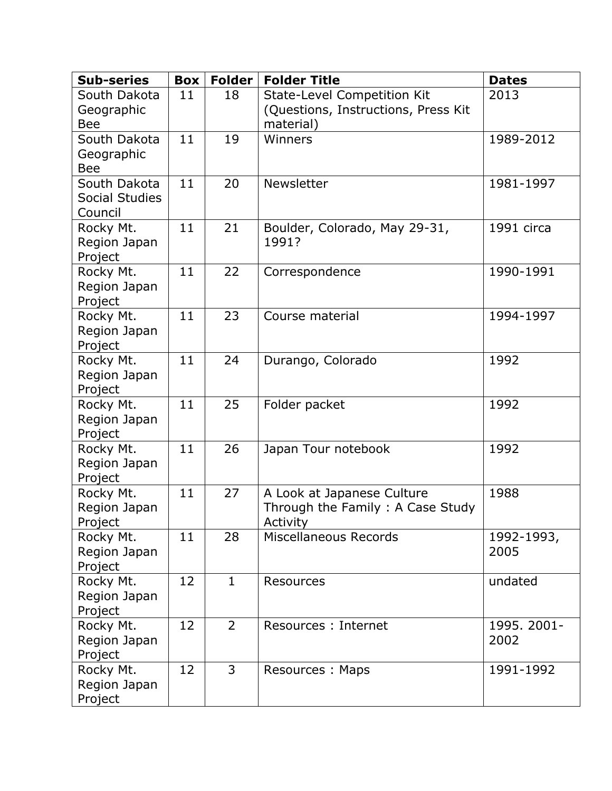| <b>Sub-series</b>          | <b>Box</b> | <b>Folder</b>  | <b>Folder Title</b>                          | <b>Dates</b> |
|----------------------------|------------|----------------|----------------------------------------------|--------------|
| South Dakota               | 11         | 18             | <b>State-Level Competition Kit</b>           | 2013         |
| Geographic                 |            |                | (Questions, Instructions, Press Kit          |              |
| <b>Bee</b><br>South Dakota | 11         | 19             | material)                                    |              |
| Geographic                 |            |                | Winners                                      | 1989-2012    |
| <b>Bee</b>                 |            |                |                                              |              |
| South Dakota               | 11         | 20             | Newsletter                                   | 1981-1997    |
| <b>Social Studies</b>      |            |                |                                              |              |
| Council                    |            |                |                                              |              |
| Rocky Mt.                  | 11         | 21             | Boulder, Colorado, May 29-31,                | 1991 circa   |
| Region Japan               |            |                | 1991?                                        |              |
| Project<br>Rocky Mt.       | 11         | 22             | Correspondence                               | 1990-1991    |
| Region Japan               |            |                |                                              |              |
| Project                    |            |                |                                              |              |
| Rocky Mt.                  | 11         | 23             | Course material                              | 1994-1997    |
| Region Japan               |            |                |                                              |              |
| Project                    |            |                |                                              |              |
| Rocky Mt.                  | 11         | 24             | Durango, Colorado                            | 1992         |
| Region Japan               |            |                |                                              |              |
| Project<br>Rocky Mt.       | 11         | 25             | Folder packet                                | 1992         |
| Region Japan               |            |                |                                              |              |
| Project                    |            |                |                                              |              |
| Rocky Mt.                  | 11         | 26             | Japan Tour notebook                          | 1992         |
| Region Japan               |            |                |                                              |              |
| Project                    |            |                |                                              |              |
| Rocky Mt.                  | 11         | 27             | A Look at Japanese Culture                   | 1988         |
| Region Japan<br>Project    |            |                | Through the Family: A Case Study<br>Activity |              |
| Rocky Mt.                  | 11         | 28             | Miscellaneous Records                        | 1992-1993,   |
| Region Japan               |            |                |                                              | 2005         |
| Project                    |            |                |                                              |              |
| Rocky Mt.                  | 12         | $\mathbf{1}$   | Resources                                    | undated      |
| Region Japan               |            |                |                                              |              |
| Project                    | 12         | $\overline{2}$ | Resources : Internet                         | 1995. 2001-  |
| Rocky Mt.<br>Region Japan  |            |                |                                              | 2002         |
| Project                    |            |                |                                              |              |
| Rocky Mt.                  | 12         | $\overline{3}$ | Resources: Maps                              | 1991-1992    |
| Region Japan               |            |                |                                              |              |
| Project                    |            |                |                                              |              |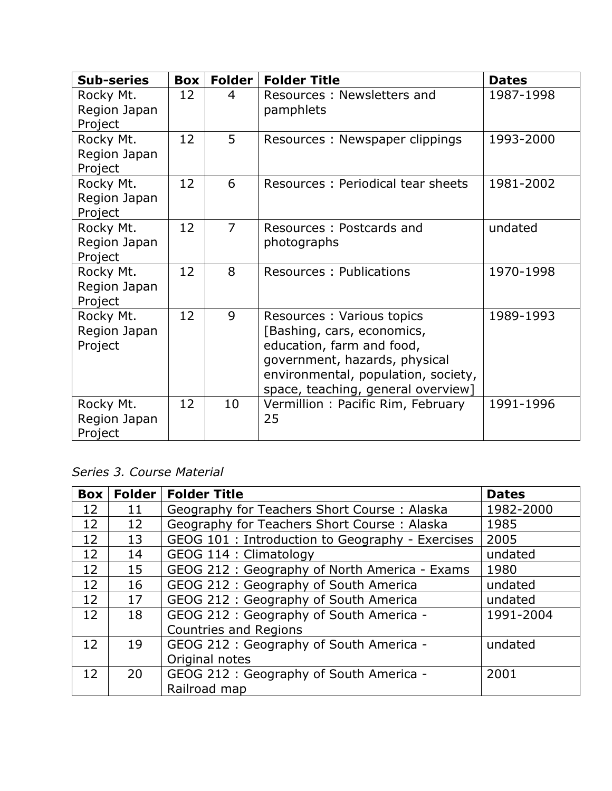| <b>Sub-series</b>                    | <b>Box</b> | Folder         | <b>Folder Title</b>                                                                                                                                                                                | <b>Dates</b> |
|--------------------------------------|------------|----------------|----------------------------------------------------------------------------------------------------------------------------------------------------------------------------------------------------|--------------|
| Rocky Mt.<br>Region Japan<br>Project | 12         | 4              | Resources: Newsletters and<br>pamphlets                                                                                                                                                            | 1987-1998    |
| Rocky Mt.<br>Region Japan<br>Project | 12         | 5              | Resources: Newspaper clippings                                                                                                                                                                     | 1993-2000    |
| Rocky Mt.<br>Region Japan<br>Project | 12         | 6              | Resources: Periodical tear sheets                                                                                                                                                                  | 1981-2002    |
| Rocky Mt.<br>Region Japan<br>Project | 12         | $\overline{7}$ | Resources: Postcards and<br>photographs                                                                                                                                                            | undated      |
| Rocky Mt.<br>Region Japan<br>Project | 12         | 8              | Resources: Publications                                                                                                                                                                            | 1970-1998    |
| Rocky Mt.<br>Region Japan<br>Project | 12         | 9              | Resources: Various topics<br>[Bashing, cars, economics,<br>education, farm and food,<br>government, hazards, physical<br>environmental, population, society,<br>space, teaching, general overview] | 1989-1993    |
| Rocky Mt.<br>Region Japan<br>Project | 12         | 10             | Vermillion: Pacific Rim, February<br>25                                                                                                                                                            | 1991-1996    |

### *Series 3. Course Material*

| <b>Box</b> | <b>Folder</b> | <b>Folder Title</b>                              | <b>Dates</b> |
|------------|---------------|--------------------------------------------------|--------------|
| 12         | 11            | Geography for Teachers Short Course: Alaska      | 1982-2000    |
| 12         | 12            | Geography for Teachers Short Course: Alaska      | 1985         |
| 12         | 13            | GEOG 101 : Introduction to Geography - Exercises | 2005         |
| 12         | 14            | GEOG 114 : Climatology                           | undated      |
| 12         | 15            | GEOG 212: Geography of North America - Exams     | 1980         |
| 12         | 16            | GEOG 212 : Geography of South America            | undated      |
| 12         | 17            | GEOG 212 : Geography of South America            | undated      |
| 12         | 18            | GEOG 212 : Geography of South America -          | 1991-2004    |
|            |               | <b>Countries and Regions</b>                     |              |
| 12         | 19            | GEOG 212 : Geography of South America -          | undated      |
|            |               | Original notes                                   |              |
| 12         | 20            | GEOG 212 : Geography of South America -          | 2001         |
|            |               | Railroad map                                     |              |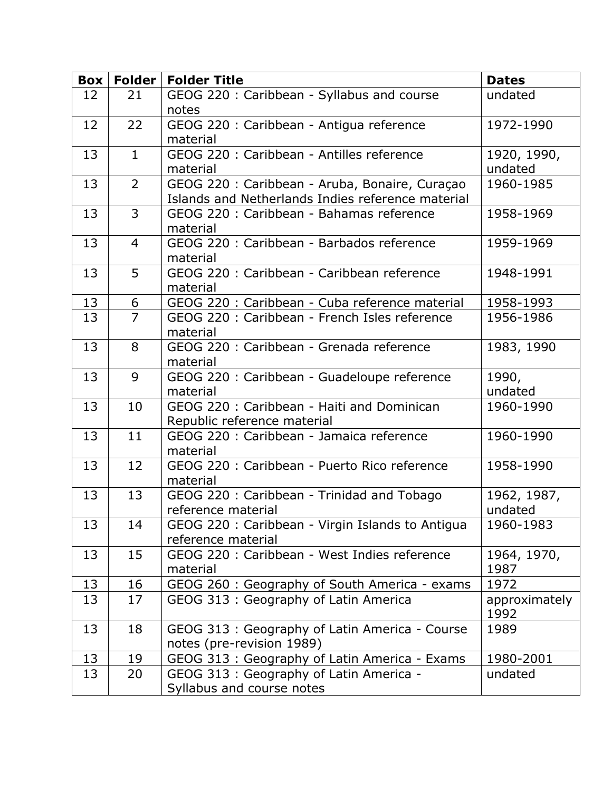|    |                | <b>Box   Folder   Folder Title</b>                                                                  | <b>Dates</b>           |
|----|----------------|-----------------------------------------------------------------------------------------------------|------------------------|
| 12 | 21             | GEOG 220: Caribbean - Syllabus and course<br>notes                                                  | undated                |
| 12 | 22             | GEOG 220 : Caribbean - Antigua reference<br>material                                                | 1972-1990              |
| 13 | $\mathbf{1}$   | GEOG 220 : Caribbean - Antilles reference<br>material                                               | 1920, 1990,<br>undated |
| 13 | $\overline{2}$ | GEOG 220 : Caribbean - Aruba, Bonaire, Curaçao<br>Islands and Netherlands Indies reference material | 1960-1985              |
| 13 | 3              | GEOG 220 : Caribbean - Bahamas reference<br>material                                                | 1958-1969              |
| 13 | $\overline{4}$ | GEOG 220 : Caribbean - Barbados reference<br>material                                               | 1959-1969              |
| 13 | 5              | GEOG 220 : Caribbean - Caribbean reference<br>material                                              | 1948-1991              |
| 13 | 6              | GEOG 220 : Caribbean - Cuba reference material                                                      | 1958-1993              |
| 13 | $\overline{7}$ | GEOG 220 : Caribbean - French Isles reference<br>material                                           | 1956-1986              |
| 13 | 8              | GEOG 220 : Caribbean - Grenada reference<br>material                                                | 1983, 1990             |
| 13 | 9              | GEOG 220 : Caribbean - Guadeloupe reference<br>material                                             | 1990,<br>undated       |
| 13 | 10             | GEOG 220: Caribbean - Haiti and Dominican<br>Republic reference material                            | 1960-1990              |
| 13 | 11             | GEOG 220 : Caribbean - Jamaica reference<br>material                                                | 1960-1990              |
| 13 | 12             | GEOG 220 : Caribbean - Puerto Rico reference<br>material                                            | 1958-1990              |
| 13 | 13             | GEOG 220: Caribbean - Trinidad and Tobago<br>reference material                                     | 1962, 1987,<br>undated |
| 13 | 14             | GEOG 220 : Caribbean - Virgin Islands to Antigua<br>reference material                              | 1960-1983              |
| 13 | 15             | GEOG 220 : Caribbean - West Indies reference<br>material                                            | 1964, 1970,<br>1987    |
| 13 | 16             | GEOG 260 : Geography of South America - exams                                                       | 1972                   |
| 13 | 17             | GEOG 313: Geography of Latin America                                                                | approximately<br>1992  |
| 13 | 18             | GEOG 313 : Geography of Latin America - Course<br>notes (pre-revision 1989)                         | 1989                   |
| 13 | 19             | GEOG 313: Geography of Latin America - Exams                                                        | 1980-2001              |
| 13 | 20             | GEOG 313 : Geography of Latin America -<br>Syllabus and course notes                                | undated                |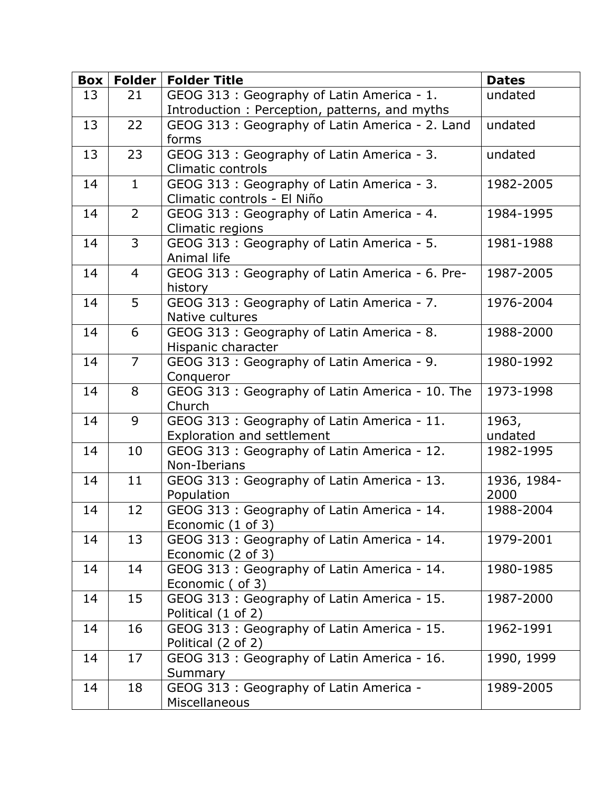| Box | <b>Folder</b>  | <b>Folder Title</b>                                             | <b>Dates</b> |
|-----|----------------|-----------------------------------------------------------------|--------------|
| 13  | 21             | GEOG 313: Geography of Latin America - 1.                       | undated      |
|     |                | Introduction: Perception, patterns, and myths                   |              |
| 13  | 22             | GEOG 313 : Geography of Latin America - 2. Land                 | undated      |
|     |                | forms                                                           |              |
| 13  | 23             | GEOG 313: Geography of Latin America - 3.                       | undated      |
|     |                | Climatic controls                                               |              |
| 14  | $\mathbf{1}$   | GEOG 313: Geography of Latin America - 3.                       | 1982-2005    |
|     |                | Climatic controls - El Niño                                     |              |
| 14  | $\overline{2}$ | GEOG 313: Geography of Latin America - 4.                       | 1984-1995    |
|     |                | Climatic regions                                                |              |
| 14  | 3              | GEOG 313: Geography of Latin America - 5.                       | 1981-1988    |
|     |                | Animal life                                                     |              |
| 14  | $\overline{4}$ | GEOG 313 : Geography of Latin America - 6. Pre-<br>history      | 1987-2005    |
| 14  | 5              | GEOG 313: Geography of Latin America - 7.                       | 1976-2004    |
|     |                | Native cultures                                                 |              |
| 14  | 6              | GEOG 313: Geography of Latin America - 8.                       | 1988-2000    |
|     |                | Hispanic character                                              |              |
| 14  | $\overline{7}$ | GEOG 313: Geography of Latin America - 9.                       | 1980-1992    |
|     |                | Conqueror                                                       |              |
| 14  | 8              | GEOG 313 : Geography of Latin America - 10. The                 | 1973-1998    |
|     |                | Church                                                          |              |
| 14  | 9              | GEOG 313: Geography of Latin America - 11.                      | 1963,        |
|     |                | Exploration and settlement                                      | undated      |
| 14  | 10             | GEOG 313: Geography of Latin America - 12.                      | 1982-1995    |
|     |                | Non-Iberians                                                    |              |
| 14  | 11             | GEOG 313: Geography of Latin America - 13.                      | 1936, 1984-  |
|     | 12             | Population                                                      | 2000         |
| 14  |                | GEOG 313: Geography of Latin America - 14.<br>Economic (1 of 3) | 1988-2004    |
| 14  | 13             | GEOG 313: Geography of Latin America - 14.                      | 1979-2001    |
|     |                | Economic (2 of 3)                                               |              |
| 14  | 14             | GEOG 313: Geography of Latin America - 14.                      | 1980-1985    |
|     |                | Economic ( of 3)                                                |              |
| 14  | 15             | GEOG 313: Geography of Latin America - 15.                      | 1987-2000    |
|     |                | Political (1 of 2)                                              |              |
| 14  | 16             | GEOG 313: Geography of Latin America - 15.                      | 1962-1991    |
|     |                | Political (2 of 2)                                              |              |
| 14  | 17             | GEOG 313: Geography of Latin America - 16.                      | 1990, 1999   |
|     |                | Summary                                                         |              |
| 14  | 18             | GEOG 313: Geography of Latin America -                          | 1989-2005    |
|     |                | Miscellaneous                                                   |              |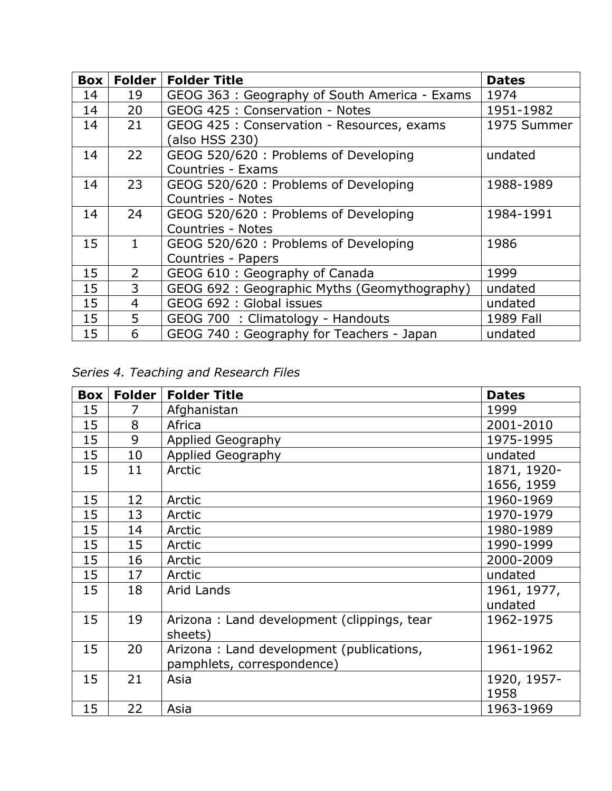| <b>Box</b> | Folder         | <b>Folder Title</b>                          | <b>Dates</b> |
|------------|----------------|----------------------------------------------|--------------|
| 14         | 19             | GEOG 363: Geography of South America - Exams | 1974         |
| 14         | 20             | GEOG 425 : Conservation - Notes              | 1951-1982    |
| 14         | 21             | GEOG 425 : Conservation - Resources, exams   | 1975 Summer  |
|            |                | (also HSS 230)                               |              |
| 14         | 22             | GEOG 520/620: Problems of Developing         | undated      |
|            |                | Countries - Exams                            |              |
| 14         | 23             | GEOG 520/620 : Problems of Developing        | 1988-1989    |
|            |                | <b>Countries - Notes</b>                     |              |
| 14         | 24             | GEOG 520/620 : Problems of Developing        | 1984-1991    |
|            |                | <b>Countries - Notes</b>                     |              |
| 15         | 1              | GEOG 520/620: Problems of Developing         | 1986         |
|            |                | Countries - Papers                           |              |
| 15         | 2              | GEOG 610 : Geography of Canada               | 1999         |
| 15         | 3              | GEOG 692: Geographic Myths (Geomythography)  | undated      |
| 15         | $\overline{4}$ | GEOG 692 : Global issues                     | undated      |
| 15         | 5              | GEOG 700 : Climatology - Handouts            | 1989 Fall    |
| 15         | 6              | GEOG 740 : Geography for Teachers - Japan    | undated      |

*Series 4. Teaching and Research Files*

| Box | <b>Folder</b> | <b>Folder Title</b>                        | <b>Dates</b> |
|-----|---------------|--------------------------------------------|--------------|
| 15  | 7             | Afghanistan                                | 1999         |
| 15  | 8             | Africa                                     | 2001-2010    |
| 15  | 9             | <b>Applied Geography</b>                   | 1975-1995    |
| 15  | 10            | Applied Geography                          | undated      |
| 15  | 11            | Arctic                                     | 1871, 1920-  |
|     |               |                                            | 1656, 1959   |
| 15  | 12            | Arctic                                     | 1960-1969    |
| 15  | 13            | Arctic                                     | 1970-1979    |
| 15  | 14            | Arctic                                     | 1980-1989    |
| 15  | 15            | Arctic                                     | 1990-1999    |
| 15  | 16            | Arctic                                     | 2000-2009    |
| 15  | 17            | Arctic                                     | undated      |
| 15  | 18            | Arid Lands                                 | 1961, 1977,  |
|     |               |                                            | undated      |
| 15  | 19            | Arizona: Land development (clippings, tear | 1962-1975    |
|     |               | sheets)                                    |              |
| 15  | 20            | Arizona: Land development (publications,   | 1961-1962    |
|     |               | pamphlets, correspondence)                 |              |
| 15  | 21            | Asia                                       | 1920, 1957-  |
|     |               |                                            | 1958         |
| 15  | 22            | Asia                                       | 1963-1969    |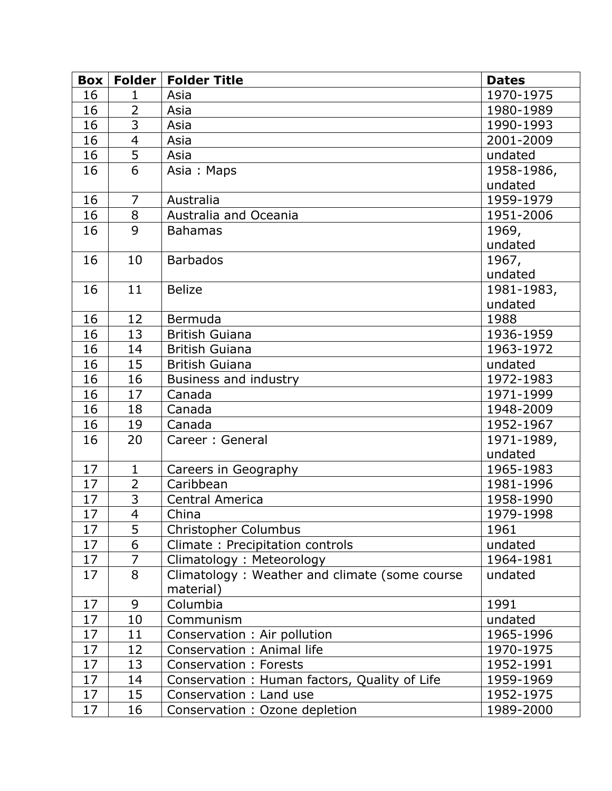| Box | Folder         | <b>Folder Title</b>                           | <b>Dates</b> |
|-----|----------------|-----------------------------------------------|--------------|
| 16  | 1              | Asia                                          | 1970-1975    |
| 16  | $\overline{2}$ | Asia                                          | 1980-1989    |
| 16  | 3              | Asia                                          | 1990-1993    |
| 16  | $\overline{4}$ | Asia                                          | 2001-2009    |
| 16  | 5              | Asia                                          | undated      |
| 16  | 6              | Asia: Maps                                    | 1958-1986,   |
|     |                |                                               | undated      |
| 16  | $\overline{7}$ | Australia                                     | 1959-1979    |
| 16  | 8              | Australia and Oceania                         | 1951-2006    |
| 16  | 9              | <b>Bahamas</b>                                | 1969,        |
|     |                |                                               | undated      |
| 16  | 10             | <b>Barbados</b>                               | 1967,        |
|     |                |                                               | undated      |
| 16  | 11             | <b>Belize</b>                                 | 1981-1983,   |
|     |                |                                               | undated      |
| 16  | 12             | <b>Bermuda</b>                                | 1988         |
| 16  | 13             | <b>British Guiana</b>                         | 1936-1959    |
| 16  | 14             | <b>British Guiana</b>                         | 1963-1972    |
| 16  | 15             | <b>British Guiana</b>                         | undated      |
| 16  | 16             | Business and industry                         | 1972-1983    |
| 16  | 17             | Canada                                        | 1971-1999    |
| 16  | 18             | Canada                                        | 1948-2009    |
| 16  | 19             | Canada                                        | 1952-1967    |
| 16  | 20             | Career: General                               | 1971-1989,   |
|     |                |                                               | undated      |
| 17  | $\mathbf{1}$   | Careers in Geography                          | 1965-1983    |
| 17  | $\overline{2}$ | Caribbean                                     | 1981-1996    |
| 17  | $\overline{3}$ | <b>Central America</b>                        | 1958-1990    |
| 17  | $\overline{4}$ | China                                         | 1979-1998    |
| 17  | 5              | Christopher Columbus                          | 1961         |
| 17  | 6              | Climate: Precipitation controls               | undated      |
| 17  | $\overline{7}$ | Climatology: Meteorology                      | 1964-1981    |
| 17  | 8              | Climatology: Weather and climate (some course | undated      |
|     |                | material)                                     |              |
| 17  | 9              | Columbia                                      | 1991         |
| 17  | 10             | Communism                                     | undated      |
| 17  | 11             | Conservation : Air pollution                  | 1965-1996    |
| 17  | 12             | Conservation: Animal life                     | 1970-1975    |
| 17  | 13             | <b>Conservation: Forests</b>                  | 1952-1991    |
| 17  | 14             | Conservation: Human factors, Quality of Life  | 1959-1969    |
| 17  | 15             | Conservation: Land use                        | 1952-1975    |
| 17  | 16             | Conservation : Ozone depletion                | 1989-2000    |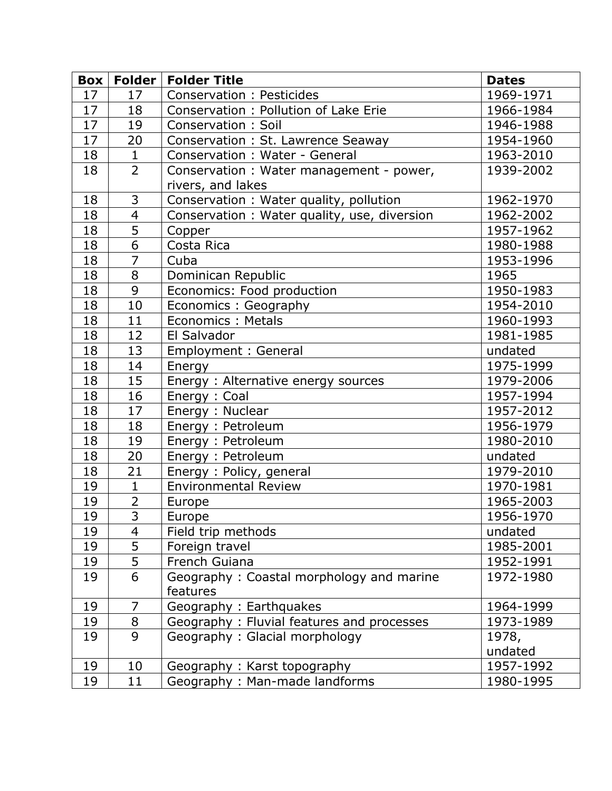| Box | Folder         | <b>Folder Title</b>                         | <b>Dates</b> |
|-----|----------------|---------------------------------------------|--------------|
| 17  | 17             | Conservation: Pesticides                    | 1969-1971    |
| 17  | 18             | Conservation: Pollution of Lake Erie        | 1966-1984    |
| 17  | 19             | Conservation: Soil                          | 1946-1988    |
| 17  | 20             | Conservation : St. Lawrence Seaway          | 1954-1960    |
| 18  | $\mathbf{1}$   | Conservation: Water - General               | 1963-2010    |
| 18  | $\overline{2}$ | Conservation : Water management - power,    | 1939-2002    |
|     |                | rivers, and lakes                           |              |
| 18  | 3              | Conservation: Water quality, pollution      | 1962-1970    |
| 18  | $\overline{4}$ | Conservation: Water quality, use, diversion | 1962-2002    |
| 18  | 5              | Copper                                      | 1957-1962    |
| 18  | 6              | Costa Rica                                  | 1980-1988    |
| 18  | $\overline{7}$ | Cuba                                        | 1953-1996    |
| 18  | 8              | Dominican Republic                          | 1965         |
| 18  | 9              | Economics: Food production                  | 1950-1983    |
| 18  | 10             | Economics: Geography                        | 1954-2010    |
| 18  | 11             | Economics: Metals                           | 1960-1993    |
| 18  | 12             | El Salvador                                 | 1981-1985    |
| 18  | 13             | Employment : General                        | undated      |
| 18  | 14             | Energy                                      | 1975-1999    |
| 18  | 15             | Energy: Alternative energy sources          | 1979-2006    |
| 18  | 16             | Energy: Coal                                | 1957-1994    |
| 18  | 17             | Energy: Nuclear                             | 1957-2012    |
| 18  | 18             | Energy: Petroleum                           | 1956-1979    |
| 18  | 19             | Energy: Petroleum                           | 1980-2010    |
| 18  | 20             | Energy: Petroleum                           | undated      |
| 18  | 21             | Energy: Policy, general                     | 1979-2010    |
| 19  | $\mathbf{1}$   | <b>Environmental Review</b>                 | 1970-1981    |
| 19  | $\overline{2}$ | Europe                                      | 1965-2003    |
| 19  | 3              | Europe                                      | 1956-1970    |
| 19  | 4              | Field trip methods                          | undated      |
| 19  | 5              | Foreign travel                              | 1985-2001    |
| 19  | 5              | French Guiana                               | 1952-1991    |
| 19  | 6              | Geography: Coastal morphology and marine    | 1972-1980    |
|     |                | features                                    |              |
| 19  | $\overline{7}$ | Geography: Earthquakes                      | 1964-1999    |
| 19  | 8              | Geography: Fluvial features and processes   | 1973-1989    |
| 19  | 9              | Geography: Glacial morphology               | 1978,        |
|     |                |                                             | undated      |
| 19  | 10             | Geography: Karst topography                 | 1957-1992    |
| 19  | 11             | Geography: Man-made landforms               | 1980-1995    |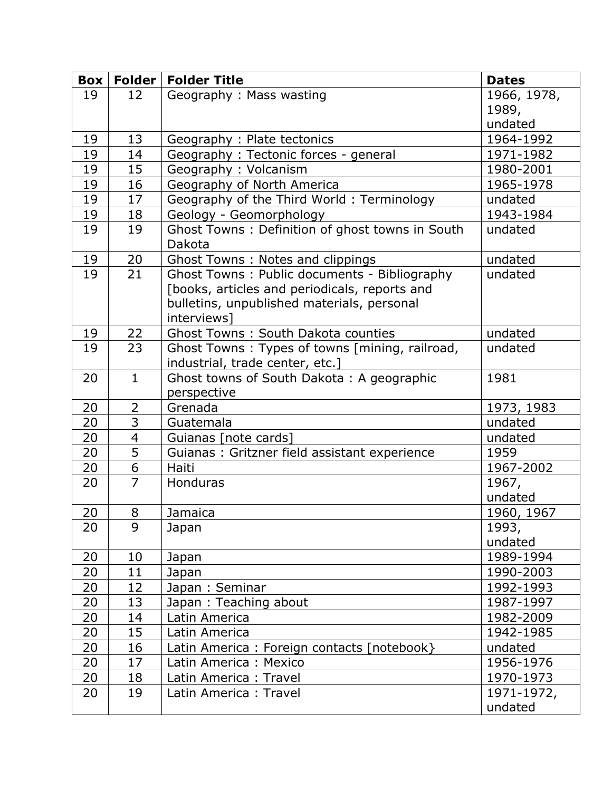| <b>Box</b> |                     | Folder   Folder Title                                     | <b>Dates</b> |
|------------|---------------------|-----------------------------------------------------------|--------------|
| 19         | 12                  | Geography: Mass wasting                                   | 1966, 1978,  |
|            |                     |                                                           | 1989,        |
|            |                     |                                                           | undated      |
| 19         | 13                  | Geography: Plate tectonics                                | 1964-1992    |
| 19         | 14                  | Geography: Tectonic forces - general                      | 1971-1982    |
| 19         | 15                  | Geography: Volcanism                                      | 1980-2001    |
| 19         | 16                  | Geography of North America                                | 1965-1978    |
| 19         | 17                  | Geography of the Third World: Terminology                 | undated      |
| 19         | 18                  | Geology - Geomorphology                                   | 1943-1984    |
| 19         | 19                  | Ghost Towns: Definition of ghost towns in South<br>Dakota | undated      |
| 19         | 20                  | Ghost Towns: Notes and clippings                          | undated      |
| 19         | 21                  | Ghost Towns: Public documents - Bibliography              | undated      |
|            |                     | [books, articles and periodicals, reports and             |              |
|            |                     | bulletins, unpublished materials, personal                |              |
|            |                     | interviews]                                               |              |
| 19         | 22                  | <b>Ghost Towns: South Dakota counties</b>                 | undated      |
| 19         | 23                  | Ghost Towns: Types of towns [mining, railroad,            | undated      |
|            |                     | industrial, trade center, etc.]                           |              |
| 20         | $\mathbf{1}$        | Ghost towns of South Dakota: A geographic                 | 1981         |
|            |                     | perspective                                               |              |
| 20         | 2                   | Grenada                                                   | 1973, 1983   |
| 20         | $\overline{3}$      | Guatemala                                                 | undated      |
| 20         | $\overline{4}$      | Guianas [note cards]                                      | undated      |
| 20         | 5                   | Guianas : Gritzner field assistant experience             | 1959         |
| 20         | 6<br>$\overline{7}$ | Haiti                                                     | 1967-2002    |
| 20         |                     | Honduras                                                  | 1967,        |
|            |                     |                                                           | undated      |
| 20         | 8                   | Jamaica                                                   | 1960, 1967   |
| 20         | 9                   | Japan                                                     | 1993,        |
|            |                     |                                                           | undated      |
| 20         | 10                  | Japan                                                     | 1989-1994    |
| 20         | 11                  | Japan                                                     | 1990-2003    |
| 20         | 12                  | Japan: Seminar                                            | 1992-1993    |
| 20         | 13                  | Japan: Teaching about                                     | 1987-1997    |
| 20         | 14                  | Latin America                                             | 1982-2009    |
| 20         | 15                  | Latin America                                             | 1942-1985    |
| 20         | 16                  | Latin America: Foreign contacts [notebook}                | undated      |
| 20         | 17                  | Latin America: Mexico                                     | 1956-1976    |
| 20         | 18                  | Latin America: Travel                                     | 1970-1973    |
| 20         | 19                  | Latin America: Travel                                     | 1971-1972,   |
|            |                     |                                                           | undated      |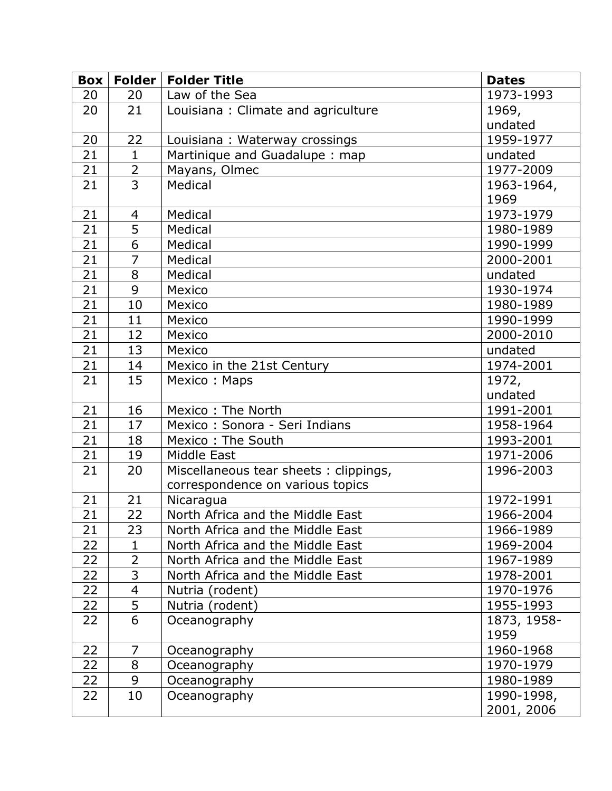| <b>Box</b>      | <b>Folder</b>  | <b>Folder Title</b>                   | <b>Dates</b> |
|-----------------|----------------|---------------------------------------|--------------|
| 20              | 20             | Law of the Sea                        | 1973-1993    |
| 20              | 21             | Louisiana: Climate and agriculture    | 1969,        |
|                 |                |                                       | undated      |
| 20              | 22             | Louisiana: Waterway crossings         | 1959-1977    |
| 21              | $\mathbf{1}$   | Martinique and Guadalupe: map         | undated      |
| 21              | $\overline{2}$ | Mayans, Olmec                         | 1977-2009    |
| 21              | $\overline{3}$ | Medical                               | 1963-1964,   |
|                 |                |                                       | 1969         |
| 21              | 4              | Medical                               | 1973-1979    |
| $\overline{21}$ | $\overline{5}$ | Medical                               | 1980-1989    |
| 21              | 6              | Medical                               | 1990-1999    |
| 21              | $\overline{7}$ | Medical                               | 2000-2001    |
| 21              | 8              | Medical                               | undated      |
| 21              | 9              | Mexico                                | 1930-1974    |
| 21              | 10             | Mexico                                | 1980-1989    |
| 21              | 11             | Mexico                                | 1990-1999    |
| 21              | 12             | Mexico                                | 2000-2010    |
| 21              | 13             | Mexico                                | undated      |
| 21              | 14             | Mexico in the 21st Century            | 1974-2001    |
| 21              | 15             | Mexico: Maps                          | 1972,        |
|                 |                |                                       | undated      |
| 21              | 16             | Mexico: The North                     | 1991-2001    |
| 21              | 17             | Mexico: Sonora - Seri Indians         | 1958-1964    |
| 21              | 18             | Mexico: The South                     | 1993-2001    |
| 21              | 19             | Middle East                           | 1971-2006    |
| 21              | 20             | Miscellaneous tear sheets: clippings, | 1996-2003    |
|                 |                | correspondence on various topics      |              |
| 21              | 21             | Nicaragua                             | 1972-1991    |
| 21              | 22             | North Africa and the Middle East      | 1966-2004    |
| 21              | 23             | North Africa and the Middle East      | 1966-1989    |
| 22              | $\mathbf{1}$   | North Africa and the Middle East      | 1969-2004    |
| 22              | $\overline{2}$ | North Africa and the Middle East      | 1967-1989    |
| 22              | 3              | North Africa and the Middle East      | 1978-2001    |
| 22              | 4              | Nutria (rodent)                       | 1970-1976    |
| 22              | 5              | Nutria (rodent)                       | 1955-1993    |
| 22              | 6              | Oceanography                          | 1873, 1958-  |
|                 |                |                                       | 1959         |
| 22              | 7              | Oceanography                          | 1960-1968    |
| 22              | 8              | Oceanography                          | 1970-1979    |
| 22              | 9              | Oceanography                          | 1980-1989    |
| 22              | 10             | Oceanography                          | 1990-1998,   |
|                 |                |                                       | 2001, 2006   |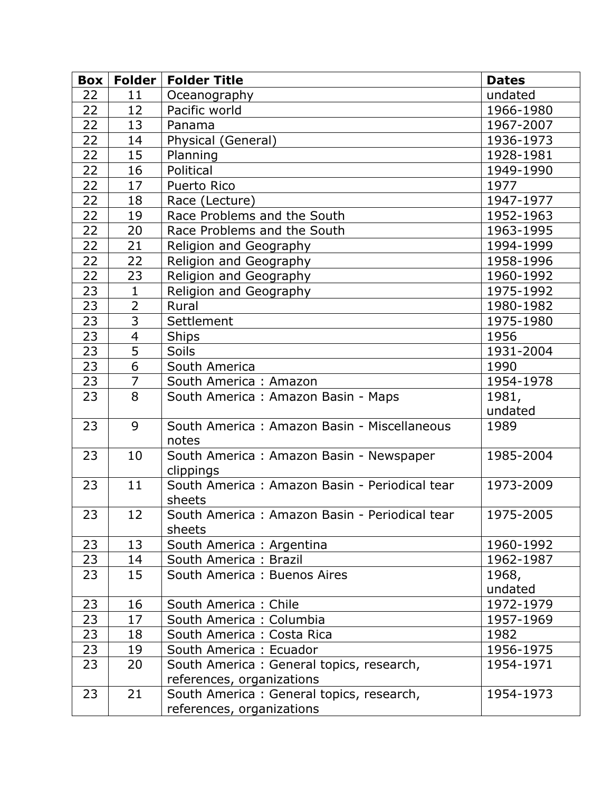| <b>Box</b> |                | Folder   Folder Title                                   | <b>Dates</b>     |
|------------|----------------|---------------------------------------------------------|------------------|
| 22         | 11             | Oceanography                                            | undated          |
| 22         | 12             | Pacific world                                           | 1966-1980        |
| 22         | 13             | Panama                                                  | 1967-2007        |
| 22         | 14             | Physical (General)                                      | 1936-1973        |
| 22         | 15             | Planning                                                | 1928-1981        |
| 22         | 16             | Political                                               | 1949-1990        |
| 22         | 17             | Puerto Rico                                             | 1977             |
| 22         | 18             | Race (Lecture)                                          | 1947-1977        |
| 22         | 19             | Race Problems and the South                             | 1952-1963        |
| 22         | 20             | Race Problems and the South                             | 1963-1995        |
| 22         | 21             | Religion and Geography                                  | 1994-1999        |
| 22         | 22             | Religion and Geography                                  | 1958-1996        |
| 22         | 23             | Religion and Geography                                  | 1960-1992        |
| 23         | $\mathbf{1}$   | Religion and Geography                                  | 1975-1992        |
| 23         | $\overline{2}$ | Rural                                                   | 1980-1982        |
| 23         | 3              | Settlement                                              | 1975-1980        |
| 23         | $\overline{4}$ | <b>Ships</b>                                            | 1956             |
| 23         | 5              | <b>Soils</b>                                            | 1931-2004        |
| 23         | 6              | South America                                           | 1990             |
| 23         | $\overline{7}$ | South America: Amazon                                   | 1954-1978        |
| 23         | 8              | South America: Amazon Basin - Maps                      | 1981,            |
|            |                |                                                         | undated          |
| 23         | 9              | South America: Amazon Basin - Miscellaneous<br>notes    | 1989             |
| 23         | 10             | South America: Amazon Basin - Newspaper<br>clippings    | 1985-2004        |
| 23         | 11             | South America: Amazon Basin - Periodical tear<br>sheets | 1973-2009        |
| 23         | 12             | South America: Amazon Basin - Periodical tear<br>sheets | 1975-2005        |
| 23         | 13             | South America: Argentina                                | 1960-1992        |
| 23         | 14             | South America: Brazil                                   | 1962-1987        |
| 23         | 15             | South America: Buenos Aires                             | 1968,<br>undated |
| 23         | 16             | South America: Chile                                    | 1972-1979        |
| 23         | 17             | South America: Columbia                                 | 1957-1969        |
| 23         | 18             | South America: Costa Rica                               | 1982             |
| 23         | 19             | South America: Ecuador                                  | 1956-1975        |
| 23         | 20             | South America: General topics, research,                | 1954-1971        |
|            |                | references, organizations                               |                  |
| 23         | 21             | South America: General topics, research,                | 1954-1973        |
|            |                | references, organizations                               |                  |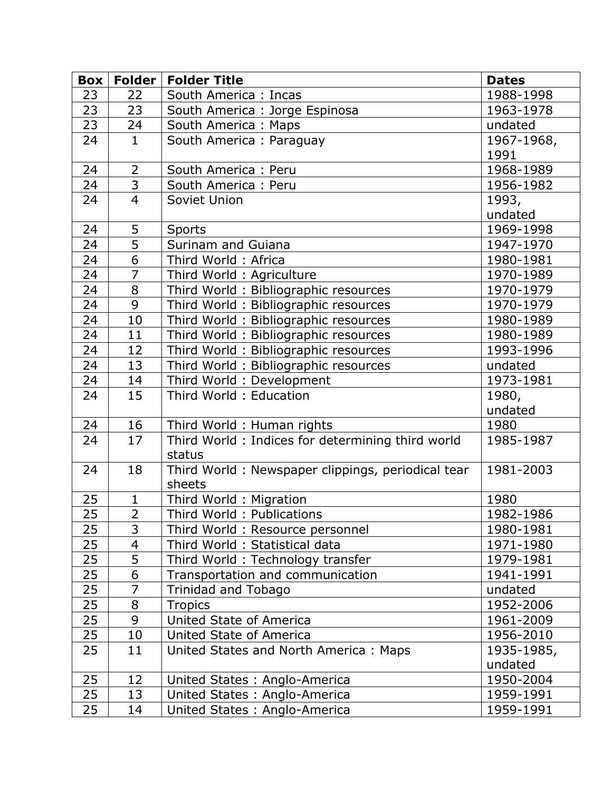| Box |                | Folder   Folder Title                             | <b>Dates</b> |
|-----|----------------|---------------------------------------------------|--------------|
| 23  | 22             | South America : Incas                             | 1988-1998    |
| 23  | 23             | South America : Jorge Espinosa                    | 1963-1978    |
| 23  | 24             | South America: Maps                               | undated      |
| 24  | $\mathbf{1}$   | South America: Paraguay                           | 1967-1968,   |
|     |                |                                                   | 1991         |
| 24  | $\overline{2}$ | South America: Peru                               | 1968-1989    |
| 24  | $\overline{3}$ | South America: Peru                               | 1956-1982    |
| 24  | $\overline{4}$ | Soviet Union                                      | 1993,        |
|     |                |                                                   | undated      |
| 24  | 5              | <b>Sports</b>                                     | 1969-1998    |
| 24  | $\overline{5}$ | Surinam and Guiana                                | 1947-1970    |
| 24  | $\overline{6}$ | Third World: Africa                               | 1980-1981    |
| 24  | $\overline{7}$ | Third World: Agriculture                          | 1970-1989    |
| 24  | $\overline{8}$ | Third World: Bibliographic resources              | 1970-1979    |
| 24  | 9              | Third World: Bibliographic resources              | 1970-1979    |
| 24  | 10             | Third World: Bibliographic resources              | 1980-1989    |
| 24  | 11             | Third World: Bibliographic resources              | 1980-1989    |
| 24  | 12             | Third World: Bibliographic resources              | 1993-1996    |
| 24  | 13             | Third World: Bibliographic resources              | undated      |
| 24  | 14             | Third World: Development                          | 1973-1981    |
| 24  | 15             | Third World: Education                            | 1980,        |
|     |                |                                                   | undated      |
| 24  | 16             | Third World: Human rights                         | 1980         |
| 24  | 17             | Third World: Indices for determining third world  | 1985-1987    |
|     |                | status                                            |              |
| 24  | 18             | Third World: Newspaper clippings, periodical tear | 1981-2003    |
|     |                | sheets                                            |              |
| 25  | $\mathbf{1}$   | Third World: Migration                            | 1980         |
| 25  | $\overline{2}$ | Third World: Publications                         | 1982-1986    |
| 25  | 3              | Third World: Resource personnel                   | 1980-1981    |
| 25  | $\overline{4}$ | Third World: Statistical data                     | 1971-1980    |
| 25  | 5              | Third World: Technology transfer                  | 1979-1981    |
| 25  | 6              | Transportation and communication                  | 1941-1991    |
| 25  | $\overline{7}$ | <b>Trinidad and Tobago</b>                        | undated      |
| 25  | 8              | <b>Tropics</b>                                    | 1952-2006    |
| 25  | 9              | United State of America                           | 1961-2009    |
| 25  | 10             | United State of America                           | 1956-2010    |
| 25  | 11             | United States and North America: Maps             | 1935-1985,   |
|     |                |                                                   | undated      |
| 25  | 12             | United States: Anglo-America                      | 1950-2004    |
| 25  | 13             | United States: Anglo-America                      | 1959-1991    |
| 25  | 14             | United States: Anglo-America                      | 1959-1991    |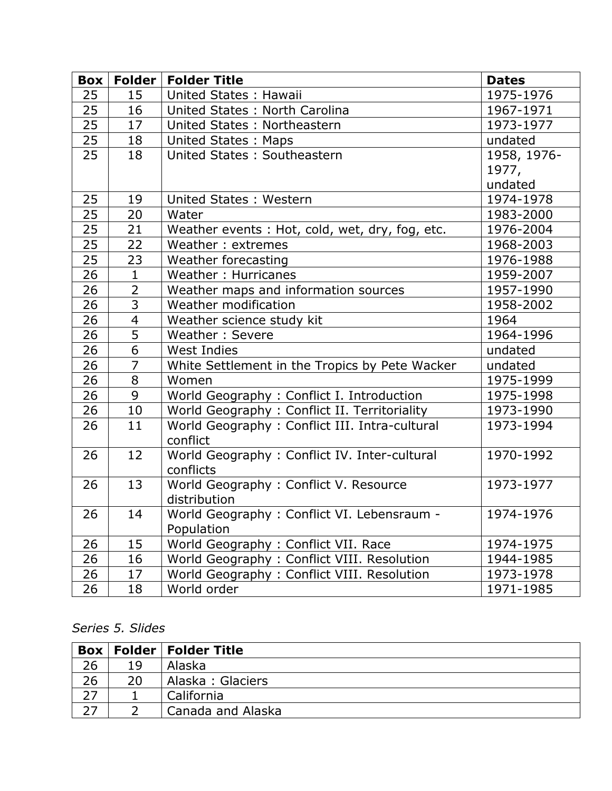| Box | Folder         | <b>Folder Title</b>                            | <b>Dates</b> |
|-----|----------------|------------------------------------------------|--------------|
| 25  | 15             | United States: Hawaii                          | 1975-1976    |
| 25  | 16             | United States: North Carolina                  | 1967-1971    |
| 25  | 17             | United States: Northeastern                    | 1973-1977    |
| 25  | 18             | <b>United States: Maps</b>                     | undated      |
| 25  | 18             | United States: Southeastern                    | 1958, 1976-  |
|     |                |                                                | 1977,        |
|     |                |                                                | undated      |
| 25  | 19             | United States: Western                         | 1974-1978    |
| 25  | 20             | Water                                          | 1983-2000    |
| 25  | 21             | Weather events: Hot, cold, wet, dry, fog, etc. | 1976-2004    |
| 25  | 22             | Weather: extremes                              | 1968-2003    |
| 25  | 23             | Weather forecasting                            | 1976-1988    |
| 26  | $\mathbf{1}$   | Weather: Hurricanes                            | 1959-2007    |
| 26  | $\overline{2}$ | Weather maps and information sources           | 1957-1990    |
| 26  | 3              | Weather modification                           | 1958-2002    |
| 26  | $\overline{4}$ | Weather science study kit                      | 1964         |
| 26  | 5              | Weather: Severe                                | 1964-1996    |
| 26  | 6              | <b>West Indies</b>                             | undated      |
| 26  | $\overline{7}$ | White Settlement in the Tropics by Pete Wacker | undated      |
| 26  | 8              | Women                                          | 1975-1999    |
| 26  | 9              | World Geography : Conflict I. Introduction     | 1975-1998    |
| 26  | 10             | World Geography: Conflict II. Territoriality   | 1973-1990    |
| 26  | 11             | World Geography: Conflict III. Intra-cultural  | 1973-1994    |
|     |                | conflict                                       |              |
| 26  | 12             | World Geography: Conflict IV. Inter-cultural   | 1970-1992    |
|     |                | conflicts                                      |              |
| 26  | 13             | World Geography: Conflict V. Resource          | 1973-1977    |
|     |                | distribution                                   |              |
| 26  | 14             | World Geography: Conflict VI. Lebensraum -     | 1974-1976    |
|     |                | Population                                     |              |
| 26  | 15             | World Geography: Conflict VII. Race            | 1974-1975    |
| 26  | 16             | World Geography: Conflict VIII. Resolution     | 1944-1985    |
| 26  | 17             | World Geography: Conflict VIII. Resolution     | 1973-1978    |
| 26  | 18             | World order                                    | 1971-1985    |

### *Series 5. Slides*

|    |    | <b>Box   Folder   Folder Title</b> |
|----|----|------------------------------------|
| 26 | 19 | Alaska                             |
| 26 | 20 | Alaska: Glaciers                   |
|    |    | California                         |
|    |    | Canada and Alaska                  |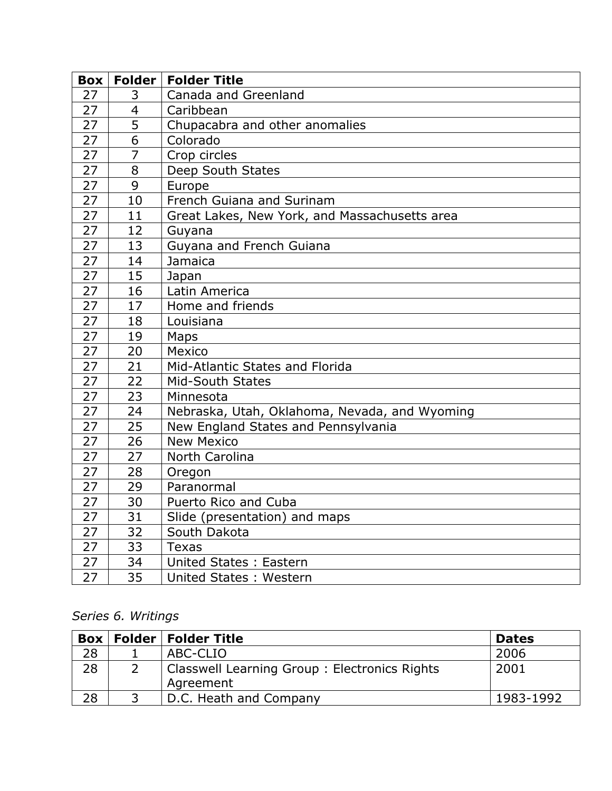| Box |                | Folder   Folder Title                         |
|-----|----------------|-----------------------------------------------|
| 27  | 3              | Canada and Greenland                          |
| 27  | 4              | Caribbean                                     |
| 27  | $\overline{5}$ | Chupacabra and other anomalies                |
| 27  | $\overline{6}$ | Colorado                                      |
| 27  | $\overline{7}$ | Crop circles                                  |
| 27  | 8              | Deep South States                             |
| 27  | 9              | Europe                                        |
| 27  | 10             | French Guiana and Surinam                     |
| 27  | 11             | Great Lakes, New York, and Massachusetts area |
| 27  | 12             | Guyana                                        |
| 27  | 13             | Guyana and French Guiana                      |
| 27  | 14             | Jamaica                                       |
| 27  | 15             | Japan                                         |
| 27  | 16             | Latin America                                 |
| 27  | 17             | Home and friends                              |
| 27  | 18             | Louisiana                                     |
| 27  | 19             | Maps                                          |
| 27  | 20             | Mexico                                        |
| 27  | 21             | Mid-Atlantic States and Florida               |
| 27  | 22             | <b>Mid-South States</b>                       |
| 27  | 23             | Minnesota                                     |
| 27  | 24             | Nebraska, Utah, Oklahoma, Nevada, and Wyoming |
| 27  | 25             | New England States and Pennsylvania           |
| 27  | 26             | <b>New Mexico</b>                             |
| 27  | 27             | North Carolina                                |
| 27  | 28             | Oregon                                        |
| 27  | 29             | Paranormal                                    |
| 27  | 30             | Puerto Rico and Cuba                          |
| 27  | 31             | Slide (presentation) and maps                 |
| 27  | 32             | South Dakota                                  |
| 27  | 33             | <b>Texas</b>                                  |
| 27  | 34             | United States: Eastern                        |
| 27  | 35             | United States: Western                        |

### *Series 6. Writings*

|    | <b>Box   Folder   Folder Title</b>           | <b>Dates</b> |
|----|----------------------------------------------|--------------|
| 28 | ABC-CLIO                                     | 2006         |
| 28 | Classwell Learning Group: Electronics Rights | 2001         |
|    | Agreement                                    |              |
| 28 | D.C. Heath and Company                       | 1983-1992    |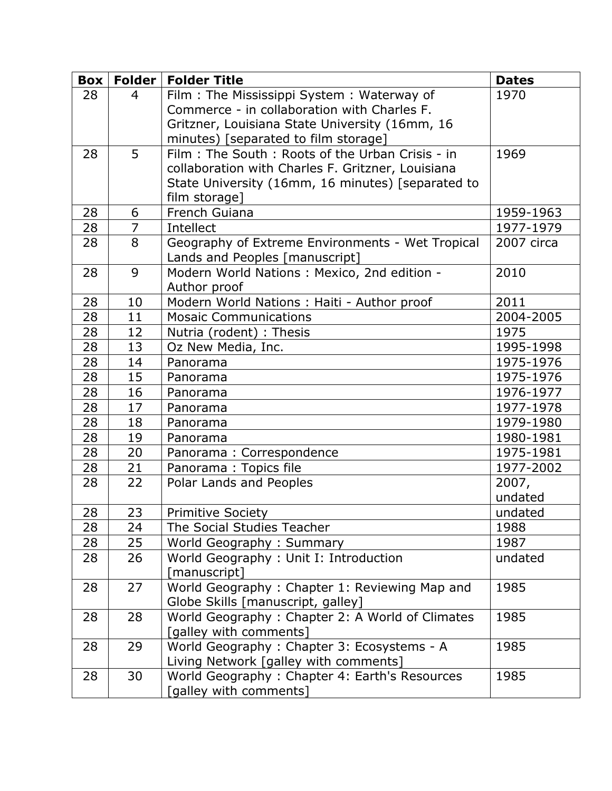| Box | <b>Folder</b>  | <b>Folder Title</b>                               | <b>Dates</b> |
|-----|----------------|---------------------------------------------------|--------------|
| 28  | $\overline{4}$ | Film: The Mississippi System: Waterway of         | 1970         |
|     |                | Commerce - in collaboration with Charles F.       |              |
|     |                | Gritzner, Louisiana State University (16mm, 16    |              |
|     |                | minutes) [separated to film storage]              |              |
| 28  | 5              | Film: The South: Roots of the Urban Crisis - in   | 1969         |
|     |                | collaboration with Charles F. Gritzner, Louisiana |              |
|     |                | State University (16mm, 16 minutes) [separated to |              |
|     |                | film storage]                                     |              |
| 28  | 6              | French Guiana                                     | 1959-1963    |
| 28  | $\overline{7}$ | Intellect                                         | 1977-1979    |
| 28  | 8              | Geography of Extreme Environments - Wet Tropical  | 2007 circa   |
|     |                | Lands and Peoples [manuscript]                    |              |
| 28  | 9              | Modern World Nations: Mexico, 2nd edition -       | 2010         |
|     |                | Author proof                                      |              |
| 28  | 10             | Modern World Nations : Haiti - Author proof       | 2011         |
| 28  | 11             | <b>Mosaic Communications</b>                      | 2004-2005    |
| 28  | 12             | Nutria (rodent) : Thesis                          | 1975         |
| 28  | 13             | Oz New Media, Inc.                                | 1995-1998    |
| 28  | 14             | Panorama                                          | 1975-1976    |
| 28  | 15             | Panorama                                          | 1975-1976    |
| 28  | 16             | Panorama                                          | 1976-1977    |
| 28  | 17             | Panorama                                          | 1977-1978    |
| 28  | 18             | Panorama                                          | 1979-1980    |
| 28  | 19             | Panorama                                          | 1980-1981    |
| 28  | 20             | Panorama: Correspondence                          | 1975-1981    |
| 28  | 21             | Panorama: Topics file                             | 1977-2002    |
| 28  | 22             | Polar Lands and Peoples                           | 2007,        |
|     |                |                                                   | undated      |
| 28  | 23             | <b>Primitive Society</b>                          | undated      |
| 28  | 24             | The Social Studies Teacher                        | 1988         |
| 28  | 25             | World Geography: Summary                          | 1987         |
| 28  | 26             | World Geography: Unit I: Introduction             | undated      |
|     |                | [manuscript]                                      |              |
| 28  | 27             | World Geography: Chapter 1: Reviewing Map and     | 1985         |
|     |                | Globe Skills [manuscript, galley]                 |              |
| 28  | 28             | World Geography: Chapter 2: A World of Climates   | 1985         |
|     |                | [galley with comments]                            |              |
| 28  | 29             | World Geography: Chapter 3: Ecosystems - A        | 1985         |
|     |                | Living Network [galley with comments]             |              |
| 28  | 30             | World Geography: Chapter 4: Earth's Resources     | 1985         |
|     |                | [galley with comments]                            |              |